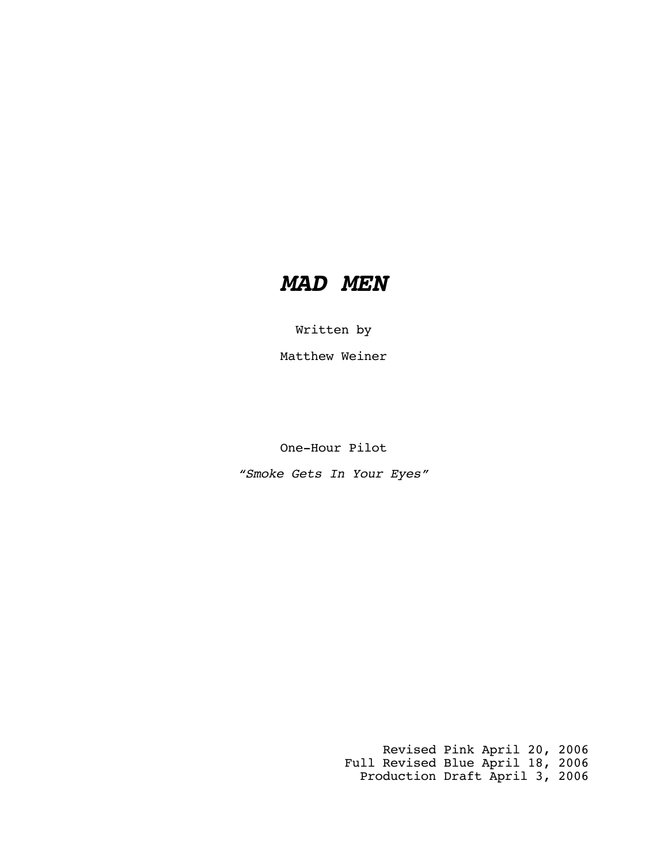# **MAD MEN**

Written by

Matthew Weiner

One-Hour Pilot

"Smoke Gets In Your Eyes"

Revised Pink April 20, 2006 Full Revised Blue April 18, 2006 Production Draft April 3, 2006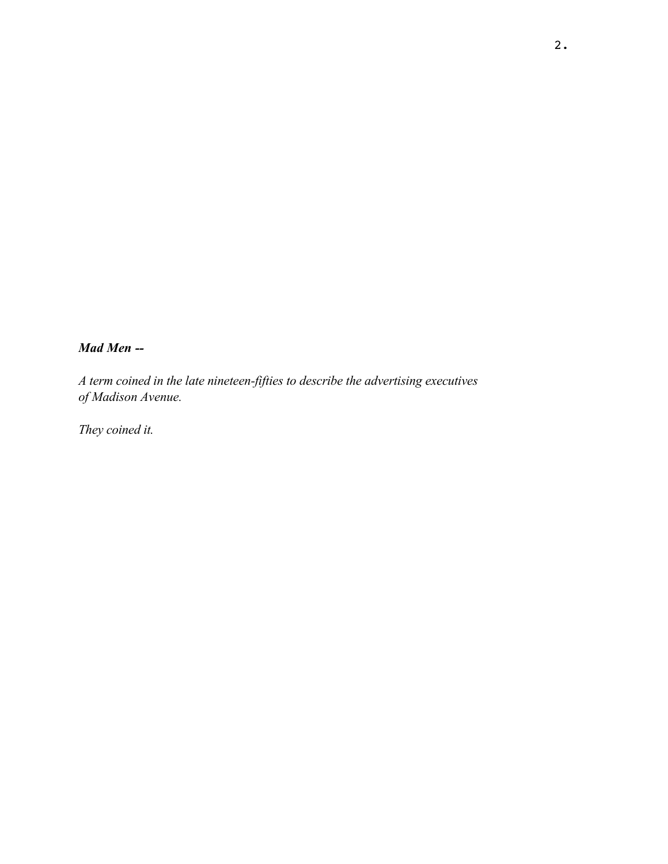## *Mad Men --*

*A term coined in the late nineteen-fifties to describe the advertising executives of Madison Avenue.*

*They coined it.*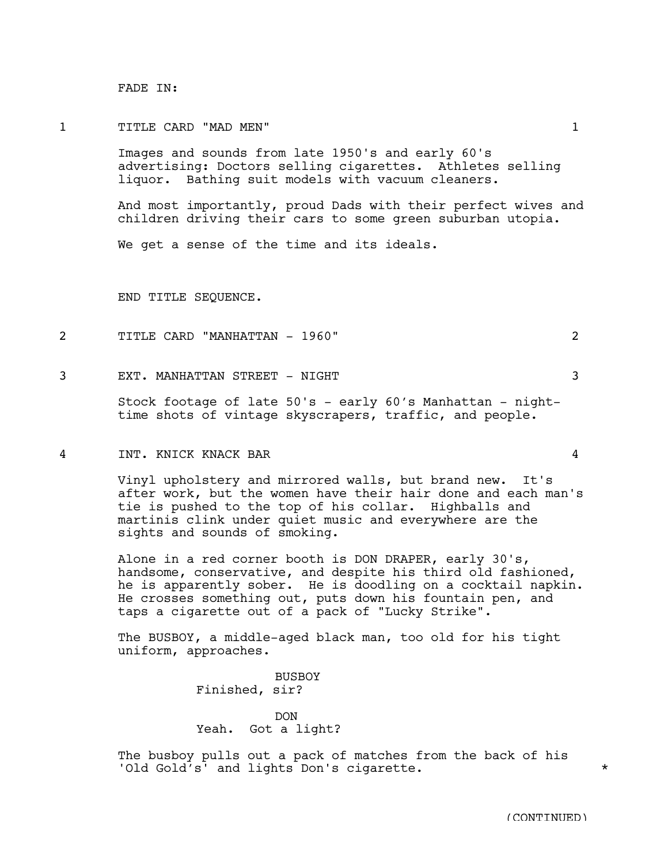FADE IN:

#### 1 TITLE CARD "MAD MEN" 1

Images and sounds from late 1950's and early 60's advertising: Doctors selling cigarettes. Athletes selling liquor. Bathing suit models with vacuum cleaners.

And most importantly, proud Dads with their perfect wives and children driving their cars to some green suburban utopia.

We get a sense of the time and its ideals.

END TITLE SEQUENCE.

2 TITLE CARD "MANHATTAN - 1960" 2

3 EXT. MANHATTAN STREET - NIGHT 3

Stock footage of late 50's - early 60's Manhattan - nighttime shots of vintage skyscrapers, traffic, and people.

#### 4 INT. KNICK KNACK BAR 4

Vinyl upholstery and mirrored walls, but brand new. It's after work, but the women have their hair done and each man's tie is pushed to the top of his collar. Highballs and martinis clink under quiet music and everywhere are the sights and sounds of smoking.

Alone in a red corner booth is DON DRAPER, early 30's, handsome, conservative, and despite his third old fashioned, he is apparently sober. He is doodling on a cocktail napkin. He crosses something out, puts down his fountain pen, and taps a cigarette out of a pack of "Lucky Strike".

The BUSBOY, a middle-aged black man, too old for his tight uniform, approaches.

> BUSBOY Finished, sir?

DON Yeah. Got a light?

The busboy pulls out a pack of matches from the back of his 'Old Gold's' and lights Don's cigarette. \*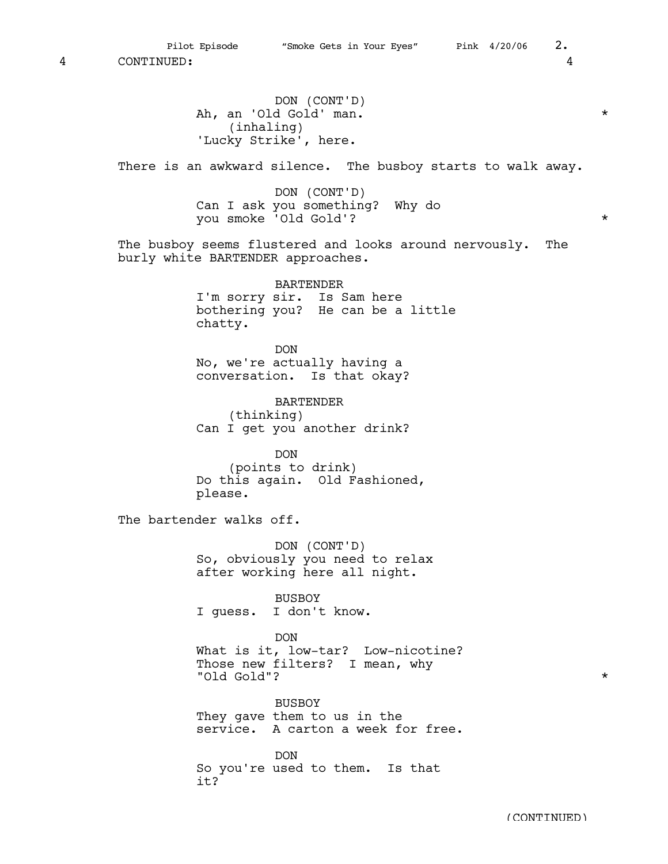DON (CONT'D) Ah, an 'Old Gold' man. \* (inhaling) 'Lucky Strike', here.

There is an awkward silence. The busboy starts to walk away.

DON (CONT'D) Can I ask you something? Why do you smoke 'Old Gold'? \*

The busboy seems flustered and looks around nervously. The burly white BARTENDER approaches.

> BARTENDER I'm sorry sir. Is Sam here bothering you? He can be a little chatty.

DON No, we're actually having a conversation. Is that okay?

BARTENDER (thinking) Can I get you another drink?

DON (points to drink) Do this again. Old Fashioned, please.

The bartender walks off.

DON (CONT'D) So, obviously you need to relax after working here all night.

BUSBOY I guess. I don't know.

DON What is it, low-tar? Low-nicotine? Those new filters? I mean, why "Old Gold"? \*

BUSBOY They gave them to us in the service. A carton a week for free.

DON So you're used to them. Is that it?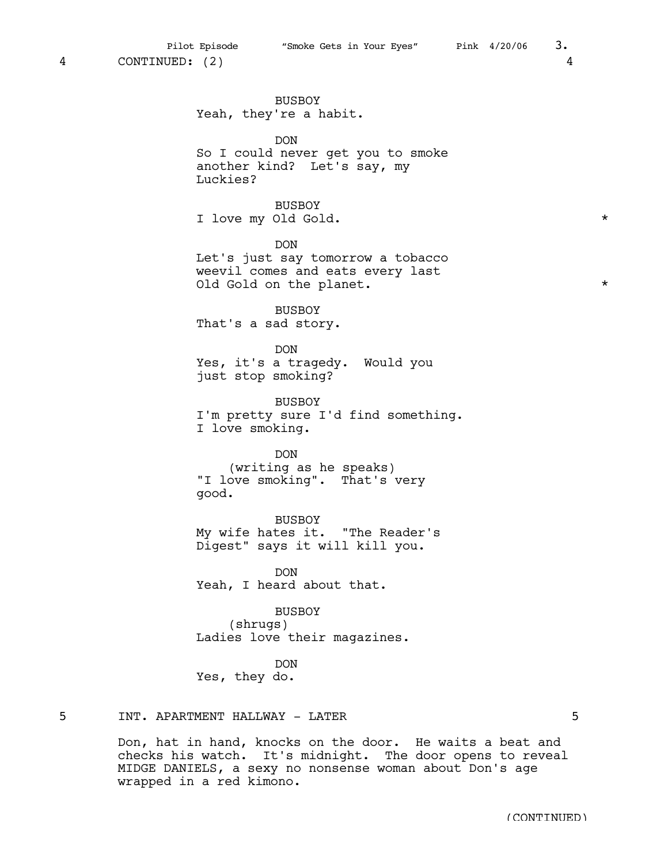BUSBOY Yeah, they're a habit.

DON So I could never get you to smoke another kind? Let's say, my Luckies?

BUSBOY I love my Old Gold. \*

DON Let's just say tomorrow a tobacco weevil comes and eats every last Old Gold on the planet.  $*$ 

BUSBOY That's a sad story.

DON Yes, it's a tragedy. Would you just stop smoking?

BUSBOY I'm pretty sure I'd find something. I love smoking.

DON (writing as he speaks) "I love smoking". That's very good.

BUSBOY My wife hates it. "The Reader's Digest" says it will kill you.

DON Yeah, I heard about that.

BUSBOY (shrugs) Ladies love their magazines.

DON Yes, they do.

## 5 INT. APARTMENT HALLWAY - LATER 5

Don, hat in hand, knocks on the door. He waits a beat and checks his watch. It's midnight. The door opens to reveal MIDGE DANIELS, a sexy no nonsense woman about Don's age wrapped in a red kimono.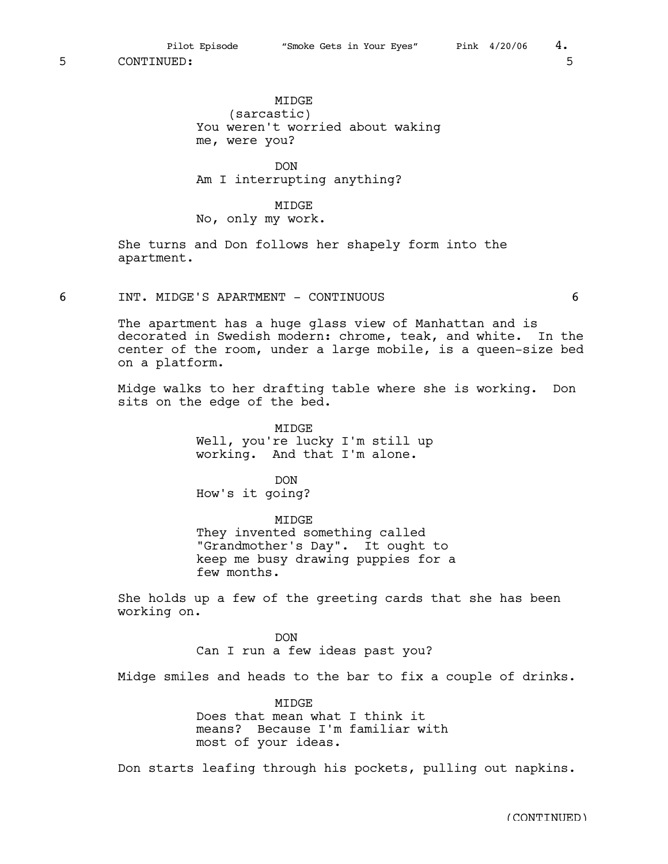MIDGE (sarcastic) You weren't worried about waking me, were you?

DON Am I interrupting anything?

MIDGE

No, only my work.

She turns and Don follows her shapely form into the apartment.

6 INT. MIDGE'S APARTMENT - CONTINUOUS 6

The apartment has a huge glass view of Manhattan and is decorated in Swedish modern: chrome, teak, and white. In the center of the room, under a large mobile, is a queen-size bed on a platform.

Midge walks to her drafting table where she is working. Don sits on the edge of the bed.

> MIDGE Well, you're lucky I'm still up working. And that I'm alone.

DON How's it going?

MIDGE They invented something called "Grandmother's Day". It ought to keep me busy drawing puppies for a few months.

She holds up a few of the greeting cards that she has been working on.

> DON Can I run a few ideas past you?

Midge smiles and heads to the bar to fix a couple of drinks.

MIDGE Does that mean what I think it means? Because I'm familiar with most of your ideas.

Don starts leafing through his pockets, pulling out napkins.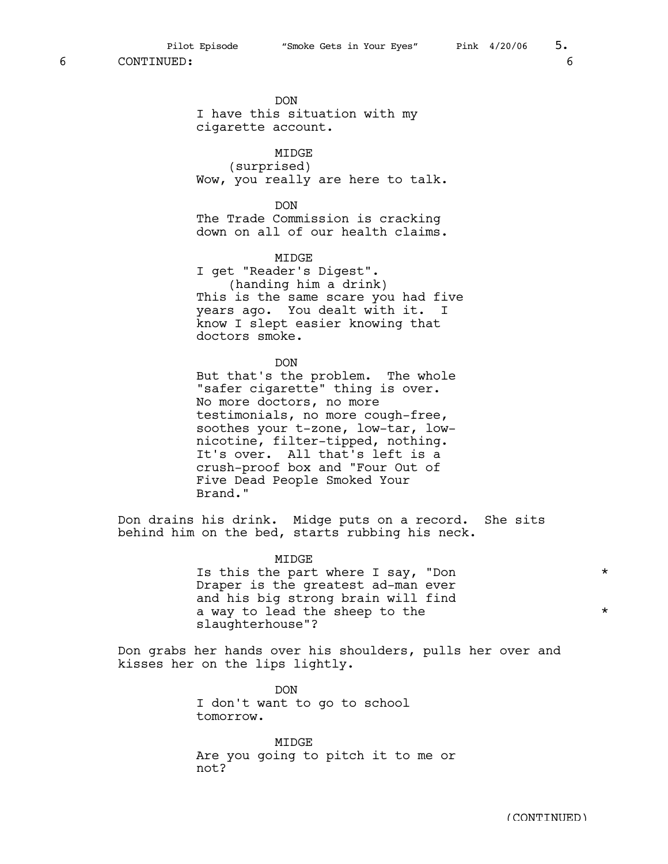DON I have this situation with my cigarette account.

MIDGE (surprised) Wow, you really are here to talk.

DON The Trade Commission is cracking down on all of our health claims.

MIDGE I get "Reader's Digest". (handing him a drink) This is the same scare you had five years ago. You dealt with it. I know I slept easier knowing that doctors smoke.

DON But that's the problem. The whole "safer cigarette" thing is over. No more doctors, no more testimonials, no more cough-free, soothes your t-zone, low-tar, lownicotine, filter-tipped, nothing. It's over. All that's left is a crush-proof box and "Four Out of Five Dead People Smoked Your Brand."

Don drains his drink. Midge puts on a record. She sits behind him on the bed, starts rubbing his neck.

> MIDGE Is this the part where I say, "Don \* Draper is the greatest ad-man ever and his big strong brain will find a way to lead the sheep to the  $*$ slaughterhouse"?

Don grabs her hands over his shoulders, pulls her over and kisses her on the lips lightly.

> **DON** I don't want to go to school tomorrow.

MIDGE Are you going to pitch it to me or not?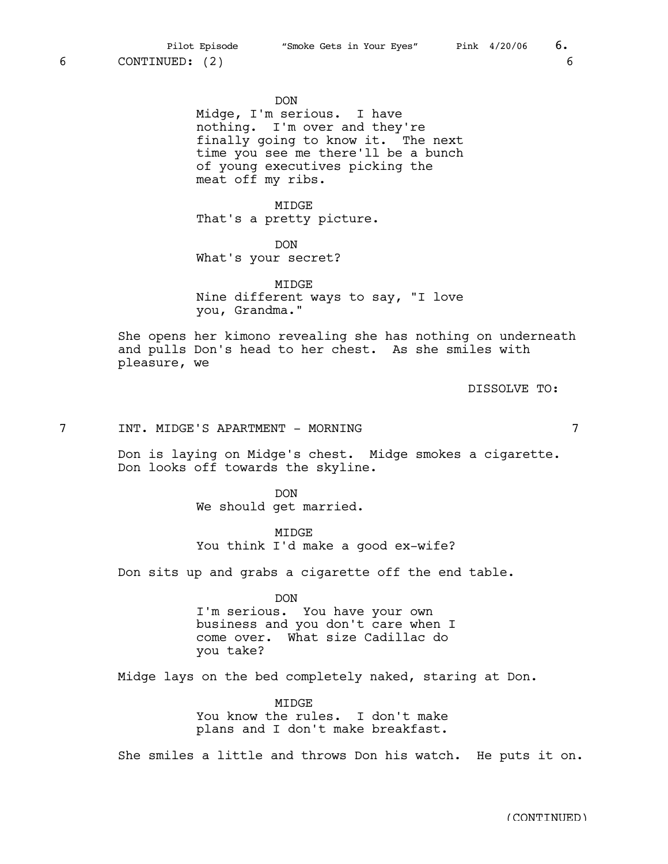DON

Midge, I'm serious. I have nothing. I'm over and they're finally going to know it. The next time you see me there'll be a bunch of young executives picking the meat off my ribs.

MIDGE That's a pretty picture.

DON What's your secret?

MIDGE Nine different ways to say, "I love you, Grandma."

She opens her kimono revealing she has nothing on underneath and pulls Don's head to her chest. As she smiles with pleasure, we

DISSOLVE TO:

7 INT. MIDGE'S APARTMENT - MORNING 7

Don is laying on Midge's chest. Midge smokes a cigarette. Don looks off towards the skyline.

> DON We should get married.

MIDGE You think I'd make a good ex-wife?

Don sits up and grabs a cigarette off the end table.

DON I'm serious. You have your own business and you don't care when I come over. What size Cadillac do you take?

Midge lays on the bed completely naked, staring at Don.

MIDGE You know the rules. I don't make plans and I don't make breakfast.

She smiles a little and throws Don his watch. He puts it on.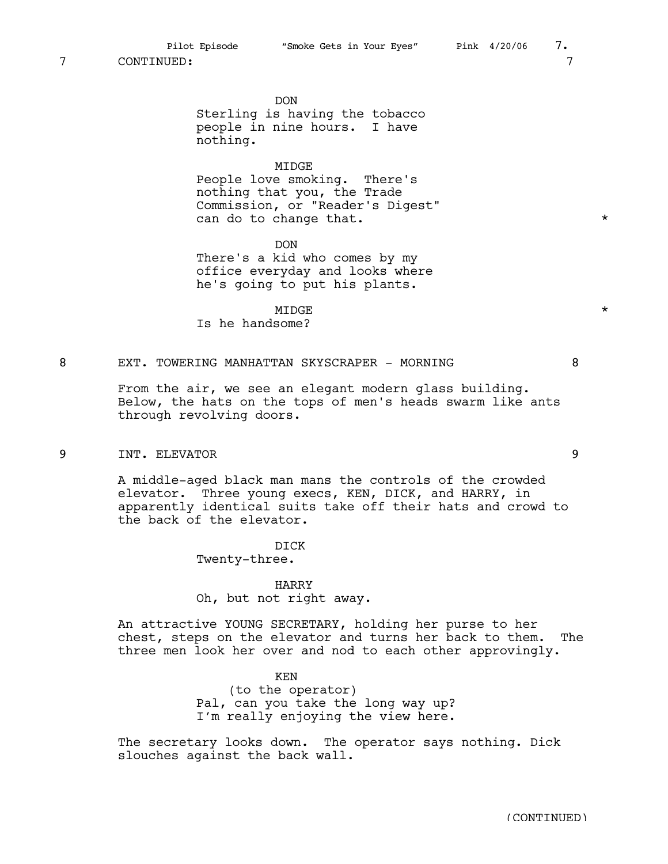DON Sterling is having the tobacco people in nine hours. I have nothing.

#### MIDGE

People love smoking. There's nothing that you, the Trade Commission, or "Reader's Digest" can do to change that.  $*$ 

DON There's a kid who comes by my office everyday and looks where he's going to put his plants.

MIDGE  $\qquad$ Is he handsome?

## 8 EXT. TOWERING MANHATTAN SKYSCRAPER - MORNING 88

From the air, we see an elegant modern glass building. Below, the hats on the tops of men's heads swarm like ants through revolving doors.

## 9 INT. ELEVATOR 9

A middle-aged black man mans the controls of the crowded elevator. Three young execs, KEN, DICK, and HARRY, in apparently identical suits take off their hats and crowd to the back of the elevator.

DICK

Twenty-three.

## HARRY

Oh, but not right away.

An attractive YOUNG SECRETARY, holding her purse to her chest, steps on the elevator and turns her back to them. The three men look her over and nod to each other approvingly.

> KEN (to the operator) Pal, can you take the long way up? I'm really enjoying the view here.

The secretary looks down. The operator says nothing. Dick slouches against the back wall.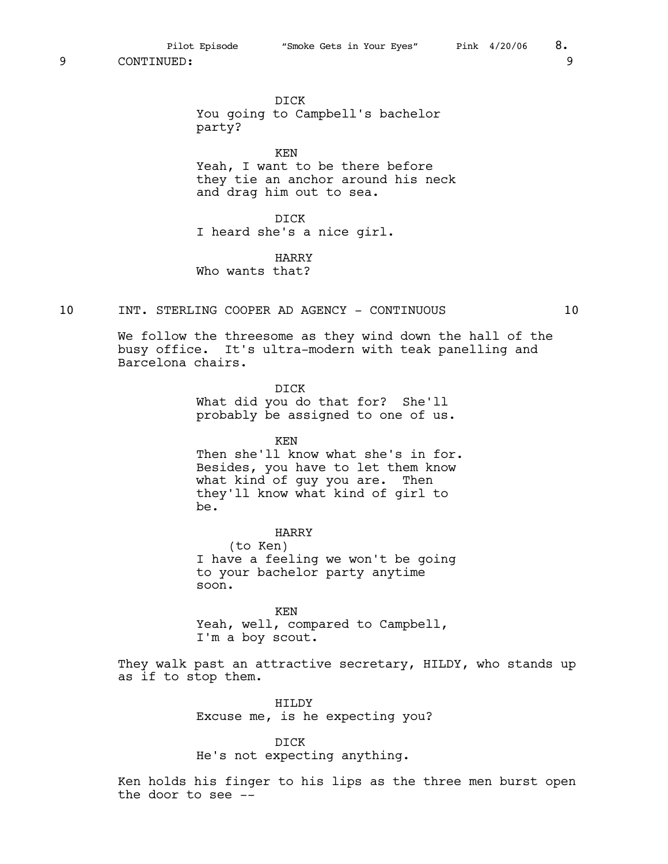Pilot Episode  $\sim$  "Smoke Gets in Your Eyes" Pink 4/20/06 8.

9 CONTINUED: 9

DICK You going to Campbell's bachelor party?

KEN Yeah, I want to be there before they tie an anchor around his neck and drag him out to sea.

DICK I heard she's a nice girl.

## HARRY

Who wants that?

10 INT. STERLING COOPER AD AGENCY - CONTINUOUS 10

We follow the threesome as they wind down the hall of the busy office. It's ultra-modern with teak panelling and Barcelona chairs.

> DICK What did you do that for? She'll probably be assigned to one of us.

> > KEN

Then she'll know what she's in for. Besides, you have to let them know what kind of guy you are. Then they'll know what kind of girl to be.

HARRY (to Ken) I have a feeling we won't be going to your bachelor party anytime soon.

KEN Yeah, well, compared to Campbell, I'm a boy scout.

They walk past an attractive secretary, HILDY, who stands up as if to stop them.

> HILDY Excuse me, is he expecting you?

DICK He's not expecting anything.

Ken holds his finger to his lips as the three men burst open the door to see --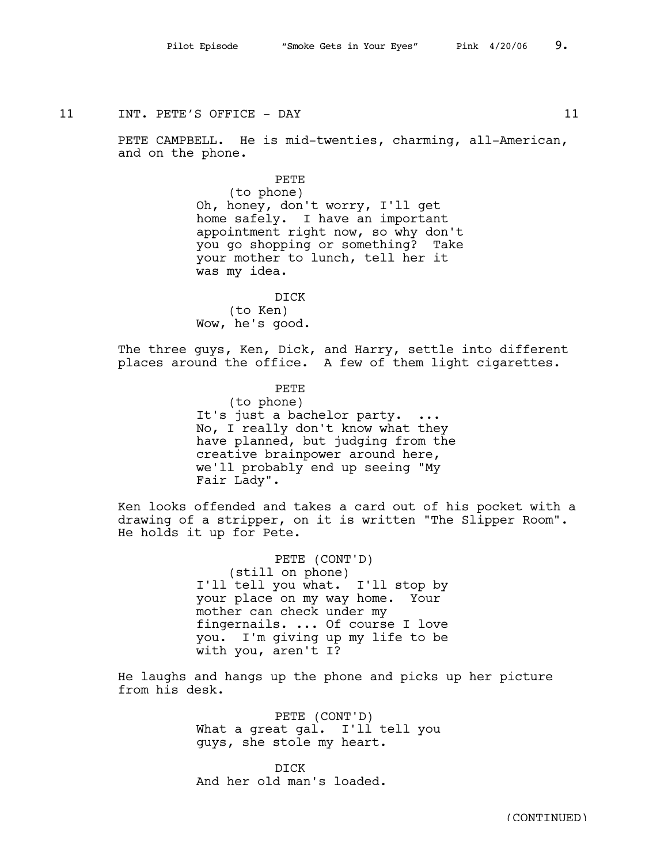- 
- 11 INT. PETE'S OFFICE DAY 11

PETE CAMPBELL. He is mid-twenties, charming, all-American, and on the phone.

## PETE

(to phone) Oh, honey, don't worry, I'll get home safely. I have an important appointment right now, so why don't you go shopping or something? Take your mother to lunch, tell her it was my idea.

DICK (to Ken) Wow, he's good.

The three guys, Ken, Dick, and Harry, settle into different places around the office. A few of them light cigarettes.

> PETE (to phone) It's just a bachelor party. ... No, I really don't know what they have planned, but judging from the creative brainpower around here, we'll probably end up seeing "My Fair Lady".

Ken looks offended and takes a card out of his pocket with a drawing of a stripper, on it is written "The Slipper Room". He holds it up for Pete.

> PETE (CONT'D) (still on phone) I'll tell you what. I'll stop by your place on my way home. Your mother can check under my fingernails. ... Of course I love you. I'm giving up my life to be with you, aren't I?

He laughs and hangs up the phone and picks up her picture from his desk.

> PETE (CONT'D) What a great gal. I'll tell you guys, she stole my heart.

DICK And her old man's loaded.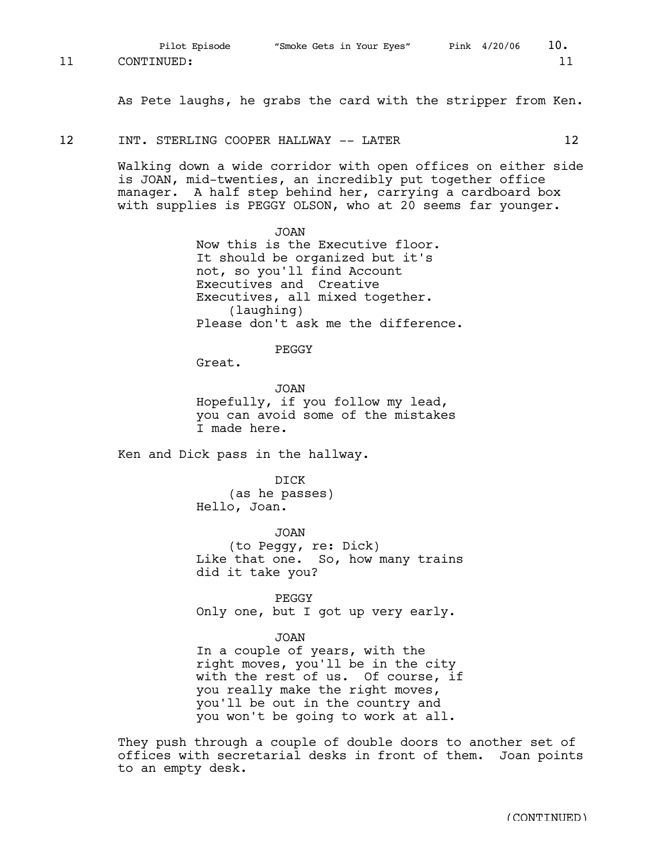Pilot Episode "Smoke Gets in Your Eyes" Pink 4/20/06 10.

As Pete laughs, he grabs the card with the stripper from Ken.

## 12 INT. STERLING COOPER HALLWAY -- LATER 12

Walking down a wide corridor with open offices on either side is JOAN, mid-twenties, an incredibly put together office manager. A half step behind her, carrying a cardboard box with supplies is PEGGY OLSON, who at 20 seems far younger.

> JOAN Now this is the Executive floor. It should be organized but it's not, so you'll find Account Executives and Creative Executives, all mixed together. (laughing) Please don't ask me the difference.

> > PEGGY

Great.

JOAN Hopefully, if you follow my lead, you can avoid some of the mistakes I made here.

Ken and Dick pass in the hallway.

DICK (as he passes) Hello, Joan.

JOAN (to Peggy, re: Dick) Like that one. So, how many trains did it take you?

PEGGY Only one, but I got up very early.

JOAN

In a couple of years, with the right moves, you'll be in the city with the rest of us. Of course, if you really make the right moves, you'll be out in the country and you won't be going to work at all.

They push through a couple of double doors to another set of offices with secretarial desks in front of them. Joan points to an empty desk.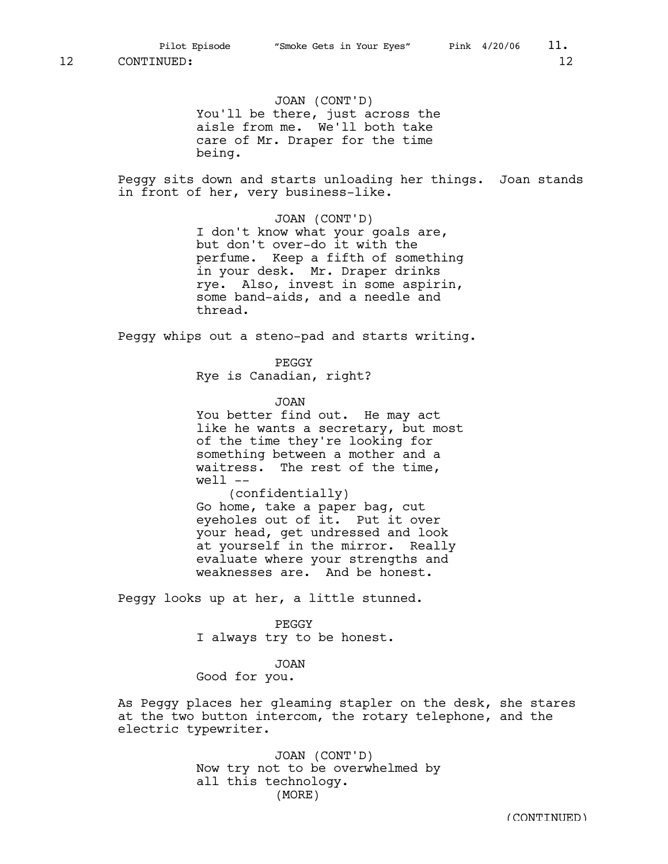JOAN (CONT'D) You'll be there, just across the aisle from me. We'll both take care of Mr. Draper for the time being.

Peggy sits down and starts unloading her things. Joan stands in front of her, very business-like.

> JOAN (CONT'D) I don't know what your goals are, but don't over-do it with the perfume. Keep a fifth of something in your desk. Mr. Draper drinks rye. Also, invest in some aspirin, some band-aids, and a needle and thread.

Peggy whips out a steno-pad and starts writing.

PEGGY Rye is Canadian, right?

JOAN

You better find out. He may act like he wants a secretary, but most of the time they're looking for something between a mother and a waitress. The rest of the time,  $well$   $--$ 

(confidentially) Go home, take a paper bag, cut eyeholes out of it. Put it over your head, get undressed and look at yourself in the mirror. Really evaluate where your strengths and weaknesses are. And be honest.

Peggy looks up at her, a little stunned.

PEGGY I always try to be honest.

JOAN

Good for you.

As Peggy places her gleaming stapler on the desk, she stares at the two button intercom, the rotary telephone, and the electric typewriter.

> JOAN (CONT'D) Now try not to be overwhelmed by all this technology. (MORE)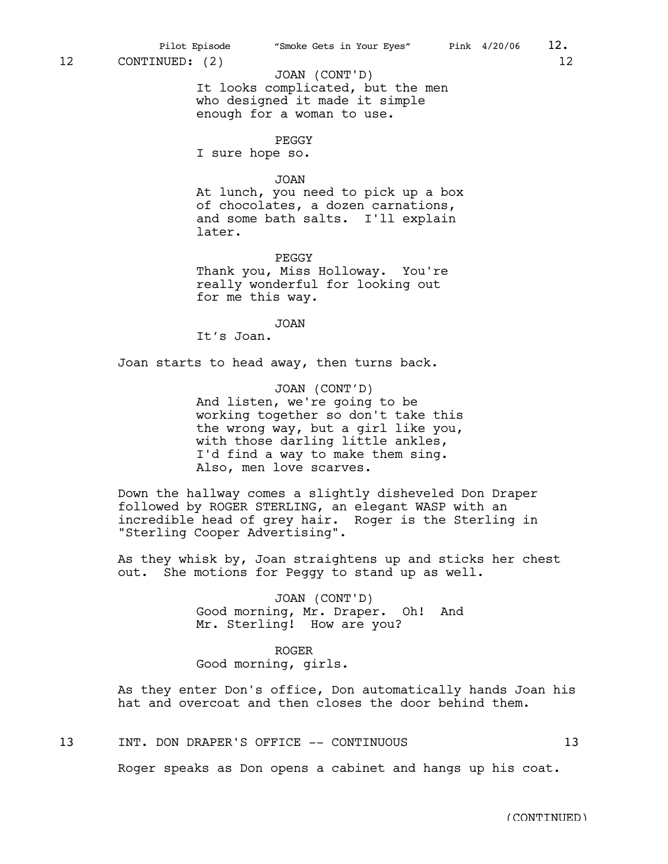## JOAN (CONT'D)

It looks complicated, but the men who designed it made it simple enough for a woman to use.

PEGGY

I sure hope so.

#### JOAN

At lunch, you need to pick up a box of chocolates, a dozen carnations, and some bath salts. I'll explain later.

PEGGY Thank you, Miss Holloway. You're really wonderful for looking out for me this way.

JOAN

It's Joan.

Joan starts to head away, then turns back.

JOAN (CONT'D) And listen, we're going to be working together so don't take this the wrong way, but a girl like you, with those darling little ankles, I'd find a way to make them sing. Also, men love scarves.

Down the hallway comes a slightly disheveled Don Draper followed by ROGER STERLING, an elegant WASP with an incredible head of grey hair. Roger is the Sterling in "Sterling Cooper Advertising".

As they whisk by, Joan straightens up and sticks her chest out. She motions for Peggy to stand up as well.

> JOAN (CONT'D) Good morning, Mr. Draper. Oh! And Mr. Sterling! How are you?

ROGER Good morning, girls.

As they enter Don's office, Don automatically hands Joan his hat and overcoat and then closes the door behind them.

13 INT. DON DRAPER'S OFFICE -- CONTINUOUS 13

Roger speaks as Don opens a cabinet and hangs up his coat.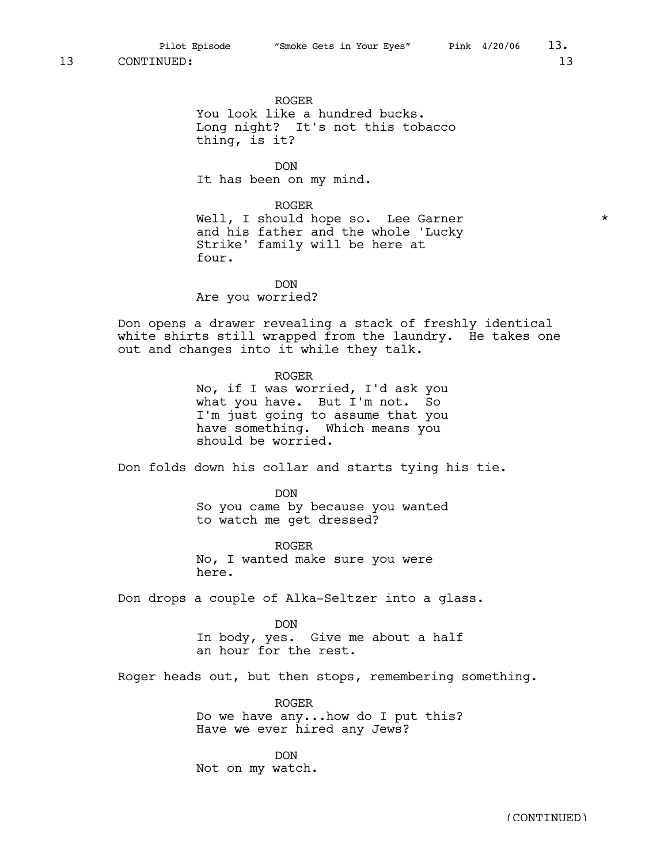ROGER You look like a hundred bucks. Long night? It's not this tobacco thing, is it?

DON It has been on my mind.

ROGER Well, I should hope so. Lee Garner  $*$ and his father and the whole 'Lucky Strike' family will be here at four.

DON Are you worried?

Don opens a drawer revealing a stack of freshly identical white shirts still wrapped from the laundry. He takes one out and changes into it while they talk.

ROGER

No, if I was worried, I'd ask you what you have. But I'm not. So I'm just going to assume that you have something. Which means you should be worried.

Don folds down his collar and starts tying his tie.

DON So you came by because you wanted to watch me get dressed?

ROGER No, I wanted make sure you were here.

Don drops a couple of Alka-Seltzer into a glass.

DON In body, yes. Give me about a half an hour for the rest.

Roger heads out, but then stops, remembering something.

ROGER Do we have any...how do I put this? Have we ever hired any Jews?

DON Not on my watch.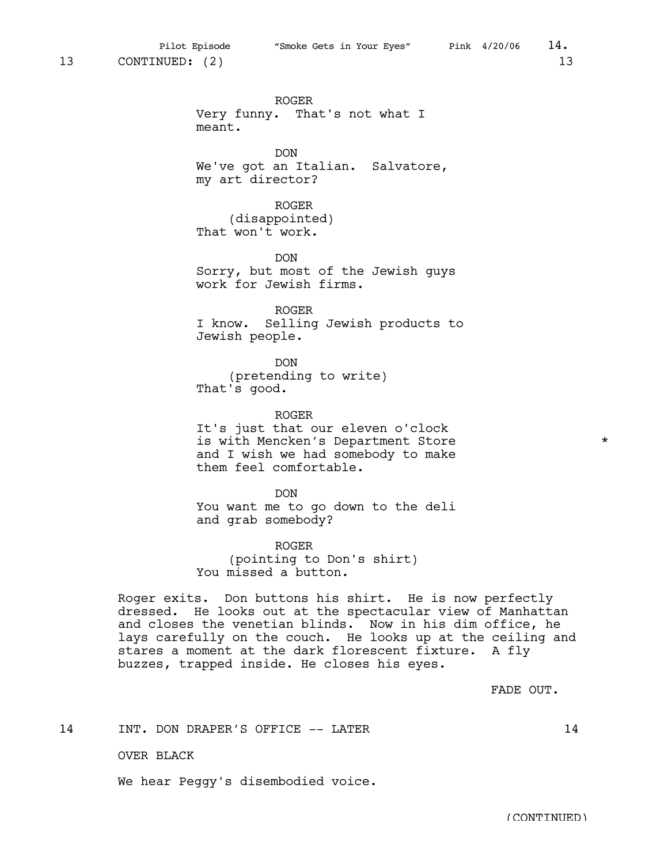ROGER Very funny. That's not what I meant. DON We've got an Italian. Salvatore, my art director? ROGER (disappointed) That won't work. DON Sorry, but most of the Jewish guys work for Jewish firms. ROGER I know. Selling Jewish products to Jewish people. DON (pretending to write)

That's good.

ROGER It's just that our eleven o'clock is with Mencken's Department Store \* and I wish we had somebody to make them feel comfortable.

DON You want me to go down to the deli and grab somebody?

ROGER (pointing to Don's shirt) You missed a button.

Roger exits. Don buttons his shirt. He is now perfectly dressed. He looks out at the spectacular view of Manhattan and closes the venetian blinds. Now in his dim office, he lays carefully on the couch. He looks up at the ceiling and stares a moment at the dark florescent fixture. A fly buzzes, trapped inside. He closes his eyes.

FADE OUT.

14 INT. DON DRAPER'S OFFICE -- LATER 14

OVER BLACK

We hear Peggy's disembodied voice.

(CONTINUED)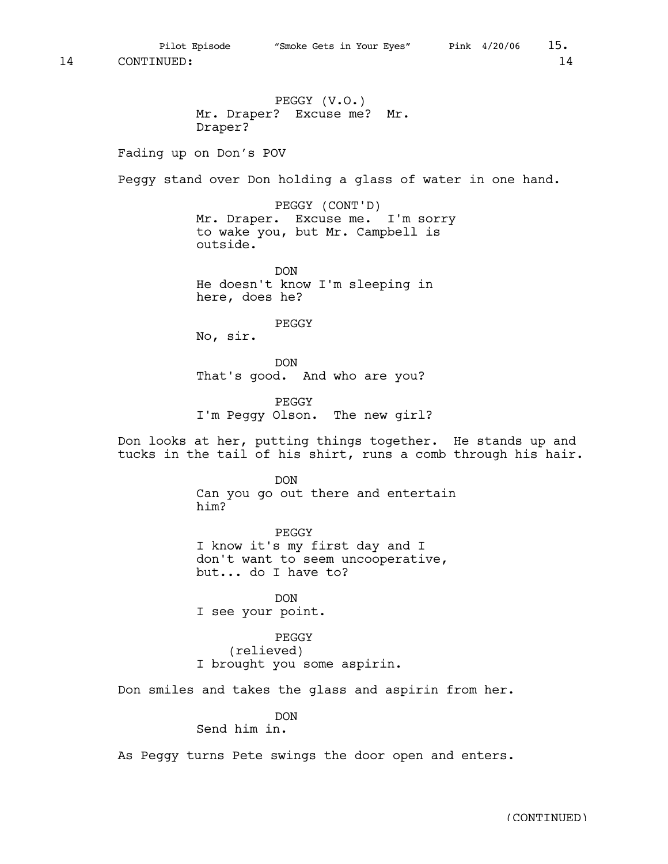PEGGY (V.O.) Mr. Draper? Excuse me? Mr. Draper?

Fading up on Don's POV

Peggy stand over Don holding a glass of water in one hand.

PEGGY (CONT'D) Mr. Draper. Excuse me. I'm sorry to wake you, but Mr. Campbell is outside.

DON He doesn't know I'm sleeping in here, does he?

PEGGY

No, sir.

DON That's good. And who are you?

PEGGY I'm Peggy Olson. The new girl?

Don looks at her, putting things together. He stands up and tucks in the tail of his shirt, runs a comb through his hair.

> DON Can you go out there and entertain him?

PEGGY I know it's my first day and I don't want to seem uncooperative, but... do I have to?

DON I see your point.

PEGGY (relieved) I brought you some aspirin.

Don smiles and takes the glass and aspirin from her.

DON

Send him in.

As Peggy turns Pete swings the door open and enters.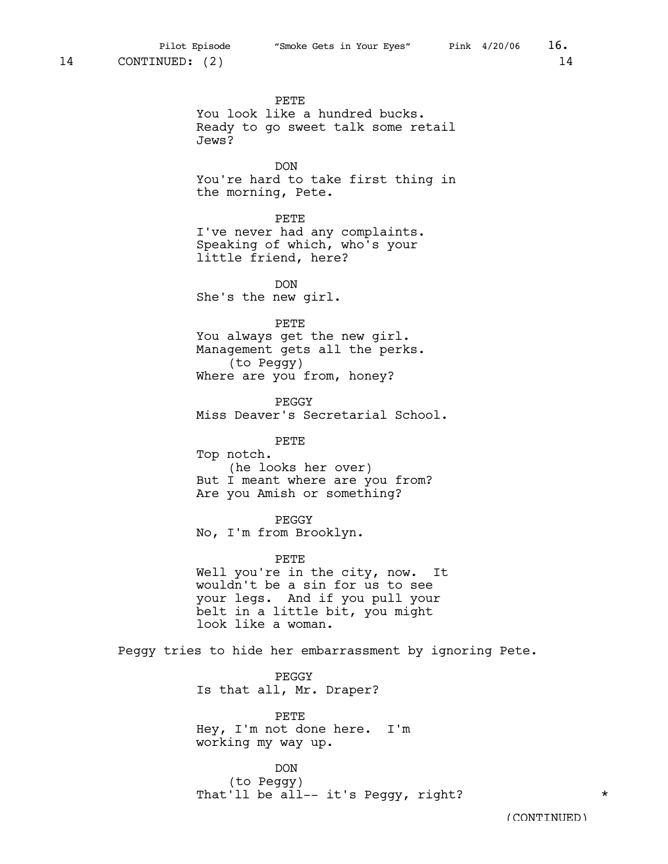PETE You look like a hundred bucks. Ready to go sweet talk some retail Jews? DON You're hard to take first thing in the morning, Pete. PETE I've never had any complaints. Speaking of which, who's your little friend, here? DON She's the new girl. PETE You always get the new girl. Management gets all the perks. (to Peggy) Where are you from, honey? PEGGY Miss Deaver's Secretarial School. PETE Top notch. (he looks her over) But I meant where are you from? Are you Amish or something? PEGGY No, I'm from Brooklyn. PETE Well you're in the city, now. It wouldn't be a sin for us to see your legs. And if you pull your belt in a little bit, you might look like a woman. Peggy tries to hide her embarrassment by ignoring Pete. PEGGY Is that all, Mr. Draper? PETE Hey, I'm not done here. I'm working my way up. DON (to Peggy) That'll be all-- it's Peggy, right? \*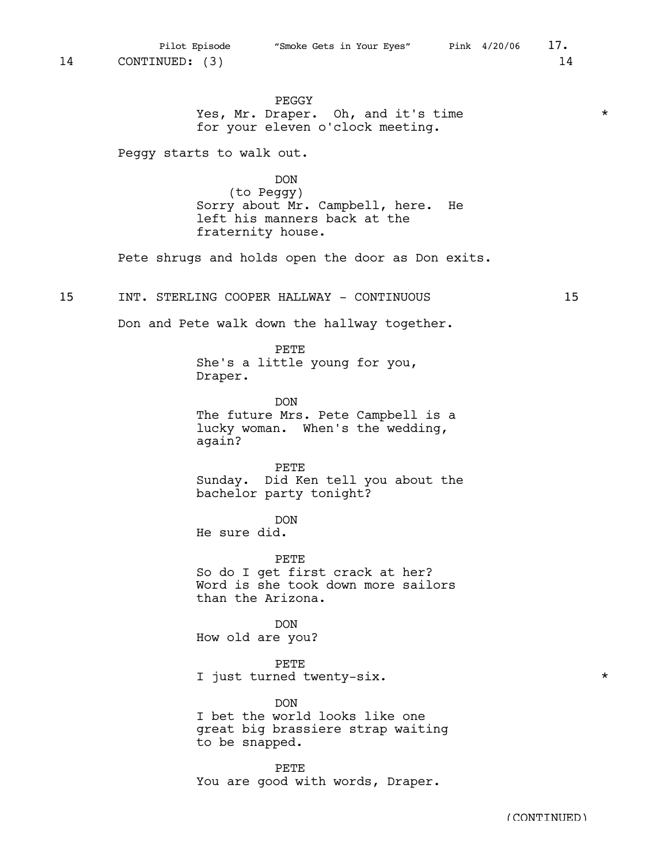PEGGY Yes, Mr. Draper. Oh, and it's time \* for your eleven o'clock meeting.

Peggy starts to walk out.

DON (to Peggy) Sorry about Mr. Campbell, here. He left his manners back at the fraternity house.

Pete shrugs and holds open the door as Don exits.

15 INT. STERLING COOPER HALLWAY - CONTINUOUS 15

Don and Pete walk down the hallway together.

PETE She's a little young for you, Draper.

DON The future Mrs. Pete Campbell is a lucky woman. When's the wedding, again?

PETE Sunday. Did Ken tell you about the bachelor party tonight?

DON He sure did.

PETE So do I get first crack at her? Word is she took down more sailors than the Arizona.

DON How old are you?

PETE I just turned twenty-six.  $*$ 

DON I bet the world looks like one great big brassiere strap waiting to be snapped.

PETE You are good with words, Draper.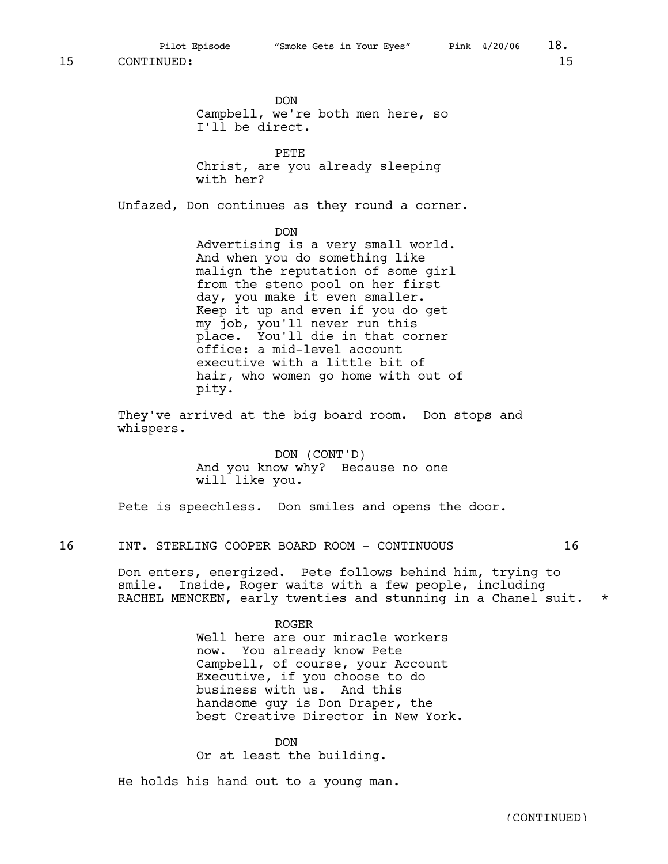DON Campbell, we're both men here, so I'll be direct.

PETE Christ, are you already sleeping with her?

Unfazed, Don continues as they round a corner.

DON

Advertising is a very small world. And when you do something like malign the reputation of some girl from the steno pool on her first day, you make it even smaller. Keep it up and even if you do get my job, you'll never run this place. You'll die in that corner office: a mid-level account executive with a little bit of hair, who women go home with out of pity.

They've arrived at the big board room. Don stops and whispers.

> DON (CONT'D) And you know why? Because no one will like you.

Pete is speechless. Don smiles and opens the door.

16 INT. STERLING COOPER BOARD ROOM - CONTINUOUS 16

Don enters, energized. Pete follows behind him, trying to smile. Inside, Roger waits with a few people, including RACHEL MENCKEN, early twenties and stunning in a Chanel suit. \*

#### ROGER

Well here are our miracle workers now. You already know Pete Campbell, of course, your Account Executive, if you choose to do business with us. And this handsome guy is Don Draper, the best Creative Director in New York.

DON Or at least the building.

He holds his hand out to a young man.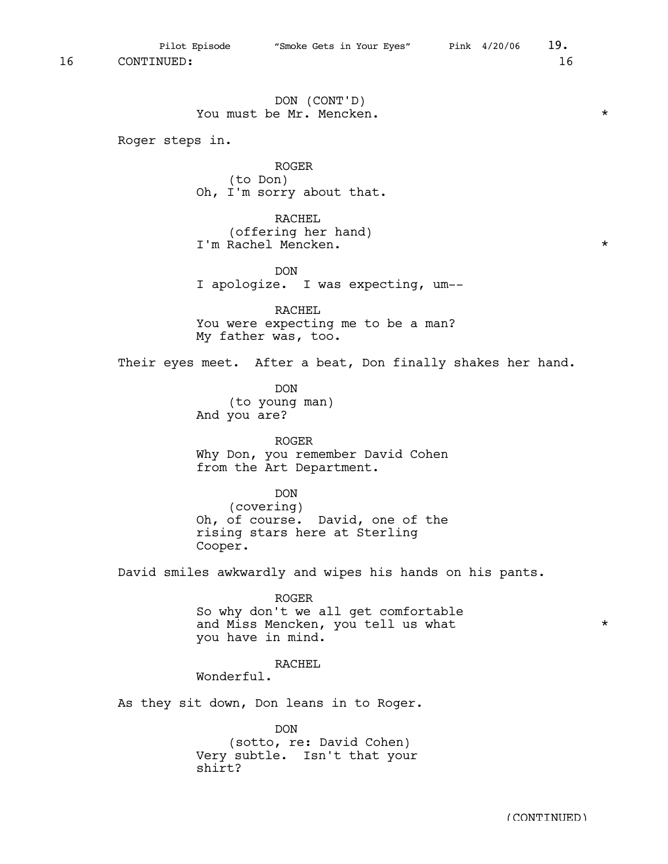DON (CONT'D) You must be Mr. Mencken.  $*$ Roger steps in. ROGER (to Don) Oh, I'm sorry about that. RACHEL (offering her hand) I'm Rachel Mencken. \* DON I apologize. I was expecting, um-- RACHEL You were expecting me to be a man? My father was, too. Their eyes meet. After a beat, Don finally shakes her hand. DON (to young man) And you are? ROGER Why Don, you remember David Cohen from the Art Department. DON (covering) Oh, of course. David, one of the rising stars here at Sterling Cooper. David smiles awkwardly and wipes his hands on his pants. ROGER So why don't we all get comfortable and Miss Mencken, you tell us what \* you have in mind. RACHEL Wonderful. As they sit down, Don leans in to Roger. DON (sotto, re: David Cohen) Very subtle. Isn't that your shirt? (CONTINUED)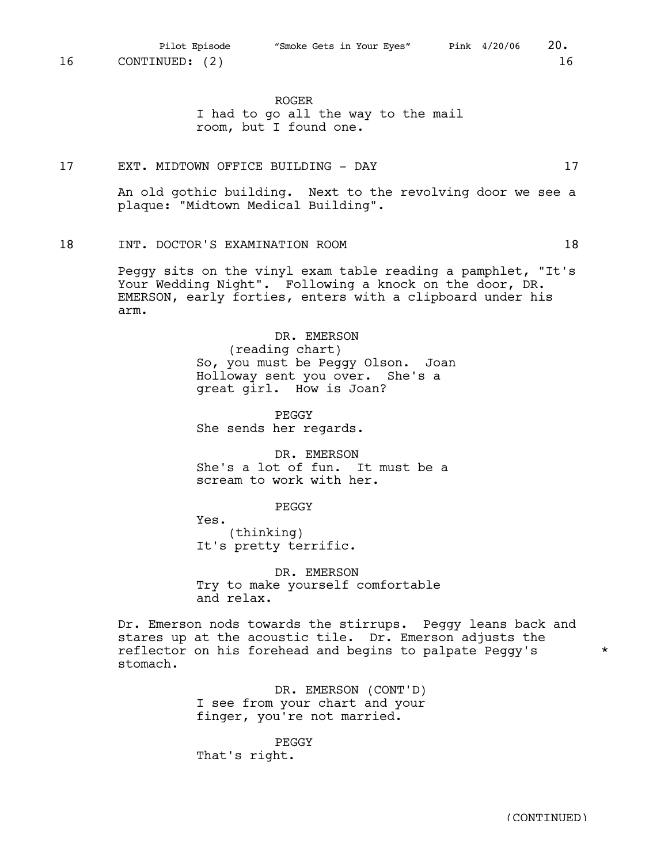ROGER

I had to go all the way to the mail room, but I found one.

#### 17 EXT. MIDTOWN OFFICE BUILDING - DAY 17

An old gothic building. Next to the revolving door we see a plaque: "Midtown Medical Building".

18 INT. DOCTOR'S EXAMINATION ROOM 18

Peggy sits on the vinyl exam table reading a pamphlet, "It's Your Wedding Night". Following a knock on the door, DR. EMERSON, early forties, enters with a clipboard under his arm.

> DR. EMERSON (reading chart) So, you must be Peggy Olson. Joan Holloway sent you over. She's a great girl. How is Joan?

PEGGY She sends her regards.

DR. EMERSON She's a lot of fun. It must be a scream to work with her.

PEGGY

Yes. (thinking) It's pretty terrific.

DR. EMERSON Try to make yourself comfortable and relax.

Dr. Emerson nods towards the stirrups. Peggy leans back and stares up at the acoustic tile. Dr. Emerson adjusts the reflector on his forehead and begins to palpate Peggy's  $*$ stomach.

> DR. EMERSON (CONT'D) I see from your chart and your finger, you're not married.

PEGGY That's right.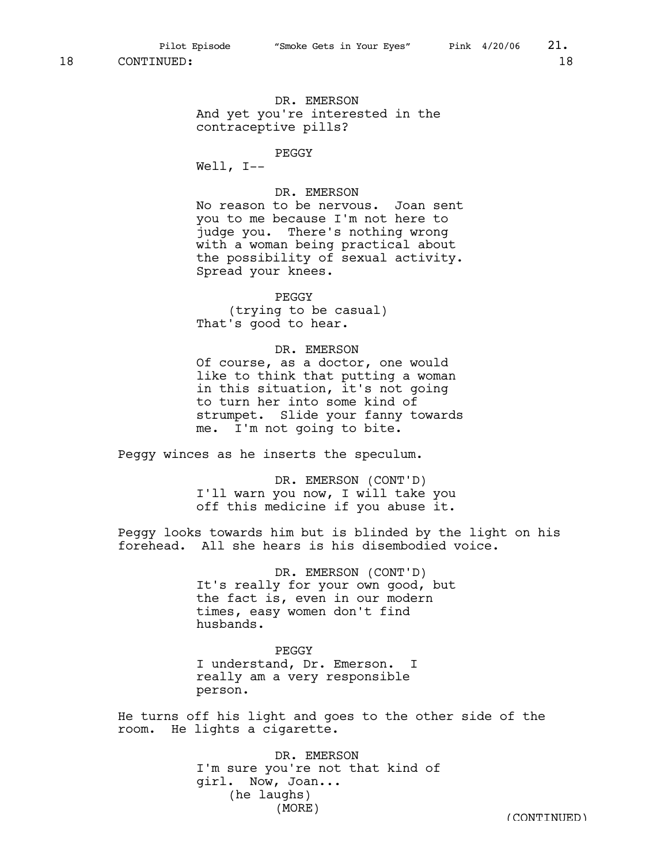DR. EMERSON And yet you're interested in the contraceptive pills?

#### PEGGY

Well, I--

## DR. EMERSON

No reason to be nervous. Joan sent you to me because I'm not here to judge you. There's nothing wrong with a woman being practical about the possibility of sexual activity. Spread your knees.

PEGGY (trying to be casual) That's good to hear.

DR. EMERSON Of course, as a doctor, one would like to think that putting a woman in this situation, it's not going to turn her into some kind of strumpet. Slide your fanny towards me. I'm not going to bite.

Peggy winces as he inserts the speculum.

DR. EMERSON (CONT'D) I'll warn you now, I will take you off this medicine if you abuse it.

Peggy looks towards him but is blinded by the light on his forehead. All she hears is his disembodied voice.

> DR. EMERSON (CONT'D) It's really for your own good, but the fact is, even in our modern times, easy women don't find husbands.

PEGGY I understand, Dr. Emerson. I really am a very responsible person.

He turns off his light and goes to the other side of the room. He lights a cigarette.

> DR. EMERSON I'm sure you're not that kind of girl. Now, Joan... (he laughs) (MORE) (CONTINUED)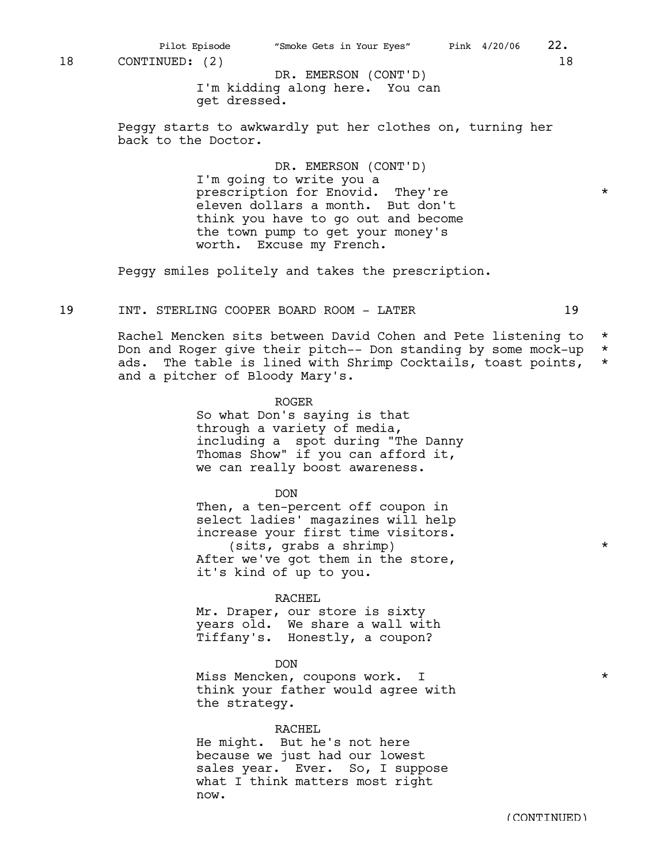Pilot Episode "Smoke Gets in Your Eyes" Pink  $4/20/06$  22.

18 CONTINUED: (2) 18

I'm kidding along here. You can get dressed. DR. EMERSON (CONT'D)

Peggy starts to awkwardly put her clothes on, turning her back to the Doctor.

> DR. EMERSON (CONT'D) I'm going to write you a prescription for Enovid. They're  $*$ eleven dollars a month. But don't think you have to go out and become the town pump to get your money's worth. Excuse my French.

Peggy smiles politely and takes the prescription.

19 INT. STERLING COOPER BOARD ROOM - LATER 19

Rachel Mencken sits between David Cohen and Pete listening to \* Don and Roger give their pitch-- Don standing by some mock-up \* ads. The table is lined with Shrimp Cocktails, toast points, \* and a pitcher of Bloody Mary's.

> ROGER So what Don's saying is that through a variety of media, including a spot during "The Danny Thomas Show" if you can afford it, we can really boost awareness.

> > DON

Then, a ten-percent off coupon in select ladies' magazines will help increase your first time visitors. (sits, grabs a shrimp) \* After we've got them in the store, it's kind of up to you.

#### RACHEL

Mr. Draper, our store is sixty years old. We share a wall with Tiffany's. Honestly, a coupon?

## DON

Miss Mencken, coupons work. I \* think your father would agree with the strategy.

## RACHEL

He might. But he's not here because we just had our lowest sales year. Ever. So, I suppose what I think matters most right now.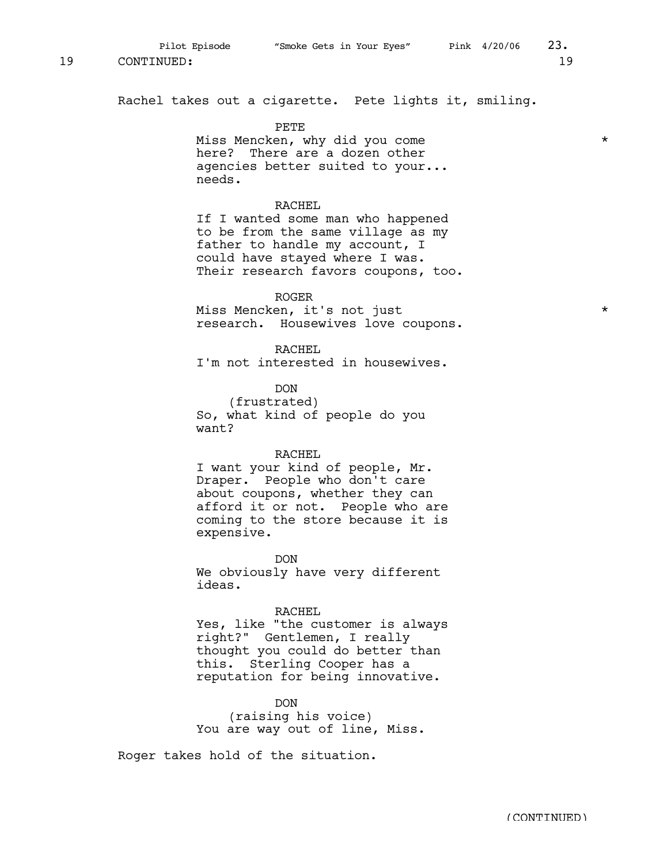Rachel takes out a cigarette. Pete lights it, smiling.

#### PETE

Miss Mencken, why did you come  $*$ here? There are a dozen other agencies better suited to your... needs.

## RACHEL

If I wanted some man who happened to be from the same village as my father to handle my account, I could have stayed where I was. Their research favors coupons, too.

#### ROGER

Miss Mencken, it's not just \* research. Housewives love coupons.

#### RACHEL

I'm not interested in housewives.

DON (frustrated) So, what kind of people do you want?

#### RACHEL

I want your kind of people, Mr. Draper. People who don't care about coupons, whether they can afford it or not. People who are coming to the store because it is expensive.

DON

We obviously have very different ideas.

#### RACHEL

Yes, like "the customer is always right?" Gentlemen, I really thought you could do better than this. Sterling Cooper has a reputation for being innovative.

#### DON

(raising his voice) You are way out of line, Miss.

Roger takes hold of the situation.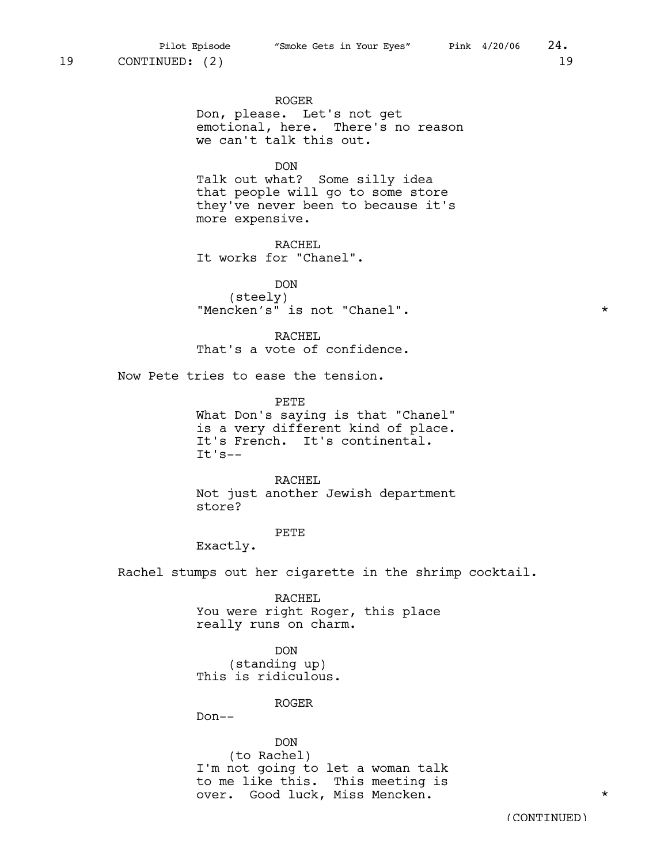ROGER Don, please. Let's not get emotional, here. There's no reason we can't talk this out.

DON

Talk out what? Some silly idea that people will go to some store they've never been to because it's more expensive.

RACHEL It works for "Chanel".

DON (steely) "Mencken's" is not "Chanel". \*

RACHEL That's a vote of confidence.

Now Pete tries to ease the tension.

PETE What Don's saying is that "Chanel" is a very different kind of place. It's French. It's continental. It's--

RACHEL Not just another Jewish department store?

#### PETE

Exactly.

Rachel stumps out her cigarette in the shrimp cocktail.

RACHEL You were right Roger, this place really runs on charm.

DON (standing up) This is ridiculous.

ROGER

Don--

DON (to Rachel) I'm not going to let a woman talk to me like this. This meeting is over. Good luck, Miss Mencken.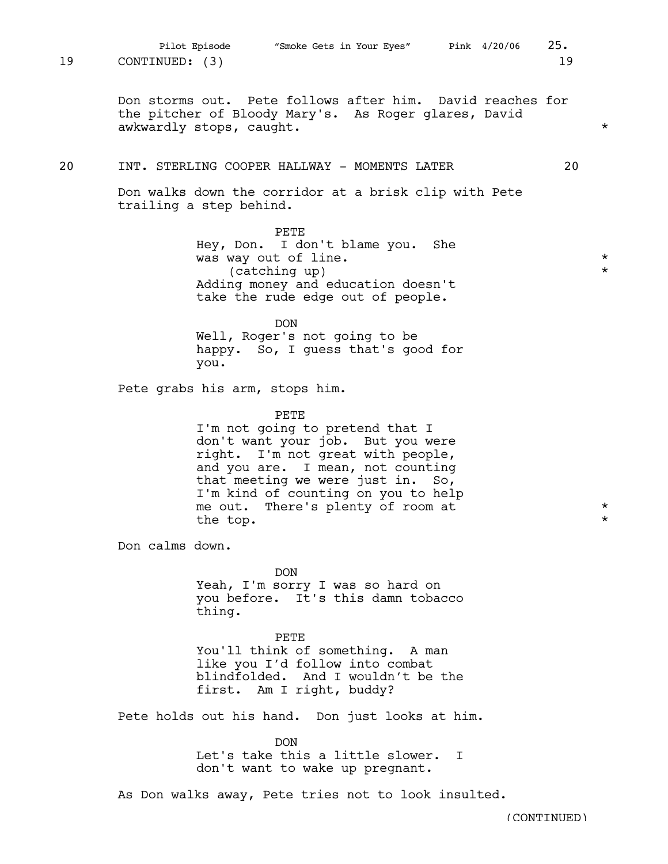Don storms out. Pete follows after him. David reaches for the pitcher of Bloody Mary's. As Roger glares, David awkwardly stops, caught.  $\star$ 

#### 20 INT. STERLING COOPER HALLWAY - MOMENTS LATER 20

Don walks down the corridor at a brisk clip with Pete trailing a step behind.

PETE

Hey, Don. I don't blame you. She was way out of line. (catching up) \* Adding money and education doesn't take the rude edge out of people.

DON

Well, Roger's not going to be happy. So, I guess that's good for you.

Pete grabs his arm, stops him.

#### PETE

I'm not going to pretend that I don't want your job. But you were right. I'm not great with people, and you are. I mean, not counting that meeting we were just in. So, I'm kind of counting on you to help me out. There's plenty of room at  $*$ the top.  $\star$ 

Don calms down.

DON Yeah, I'm sorry I was so hard on you before. It's this damn tobacco thing.

PETE You'll think of something. A man like you I'd follow into combat blindfolded. And I wouldn't be the first. Am I right, buddy?

Pete holds out his hand. Don just looks at him.

DON Let's take this a little slower. I don't want to wake up pregnant.

As Don walks away, Pete tries not to look insulted.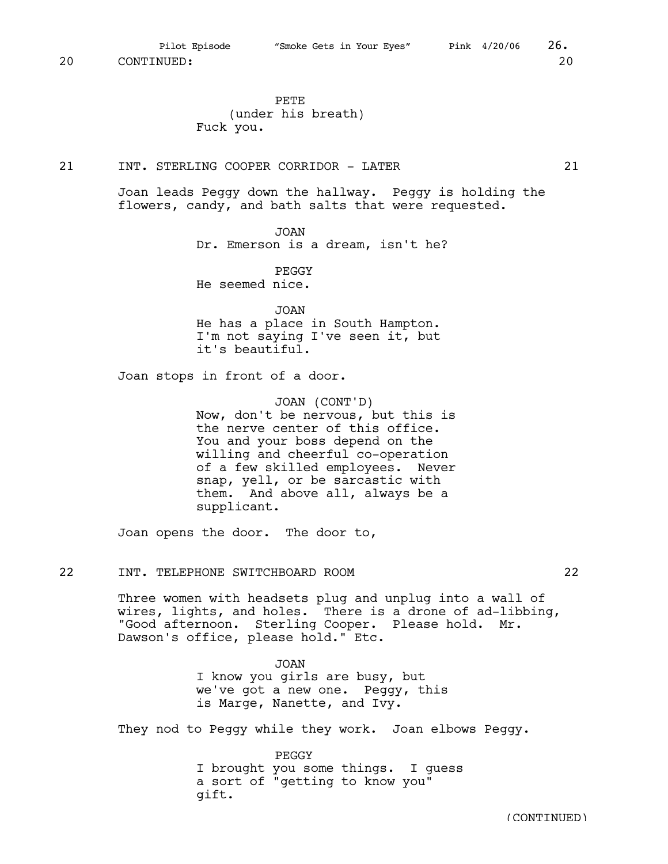PETE

(under his breath) Fuck you.

21 INT. STERLING COOPER CORRIDOR - LATER 21

Joan leads Peggy down the hallway. Peggy is holding the flowers, candy, and bath salts that were requested.

> JOAN Dr. Emerson is a dream, isn't he?

PEGGY He seemed nice.

JOAN He has a place in South Hampton. I'm not saying I've seen it, but it's beautiful.

Joan stops in front of a door.

JOAN (CONT'D) Now, don't be nervous, but this is the nerve center of this office. You and your boss depend on the willing and cheerful co-operation of a few skilled employees. Never snap, yell, or be sarcastic with them. And above all, always be a supplicant.

Joan opens the door. The door to,

## 22 INT. TELEPHONE SWITCHBOARD ROOM 22

Three women with headsets plug and unplug into a wall of wires, lights, and holes. There is a drone of ad-libbing, "Good afternoon. Sterling Cooper. Please hold. Mr. Dawson's office, please hold." Etc.

> JOAN I know you girls are busy, but we've got a new one. Peggy, this is Marge, Nanette, and Ivy.

They nod to Peggy while they work. Joan elbows Peggy.

PEGGY

I brought you some things. I guess a sort of "getting to know you" gift.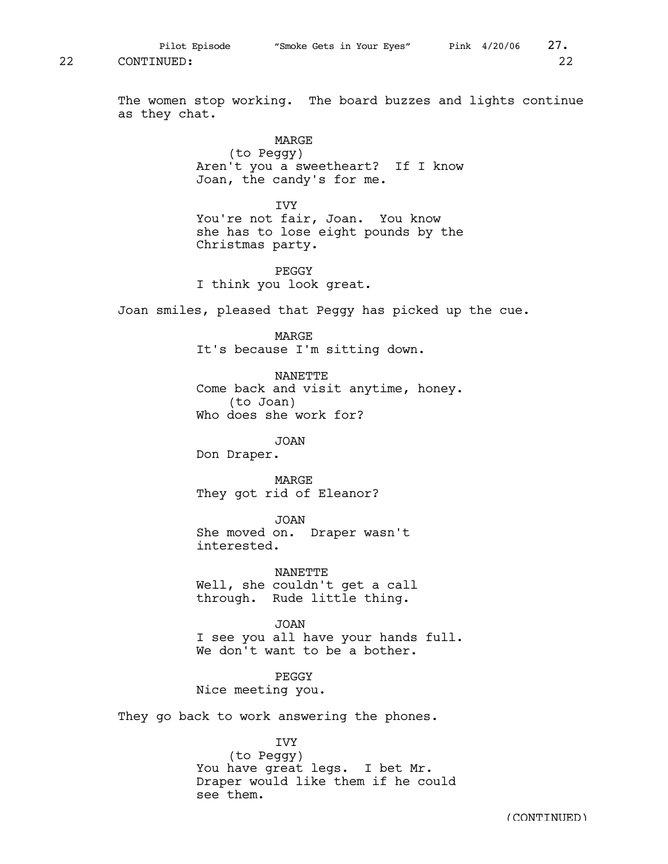The women stop working. The board buzzes and lights continue as they chat.

> MARGE (to Peggy) Aren't you a sweetheart? If I know Joan, the candy's for me.

> IVY You're not fair, Joan. You know she has to lose eight pounds by the Christmas party.

PEGGY I think you look great.

Joan smiles, pleased that Peggy has picked up the cue.

MARGE It's because I'm sitting down.

NANETTE Come back and visit anytime, honey. (to Joan) Who does she work for?

JOAN

Don Draper.

MARGE They got rid of Eleanor?

JOAN She moved on. Draper wasn't interested.

NANETTE Well, she couldn't get a call through. Rude little thing.

JOAN I see you all have your hands full. We don't want to be a bother.

PEGGY Nice meeting you.

They go back to work answering the phones.

IVY

(to Peggy) You have great legs. I bet Mr. Draper would like them if he could see them.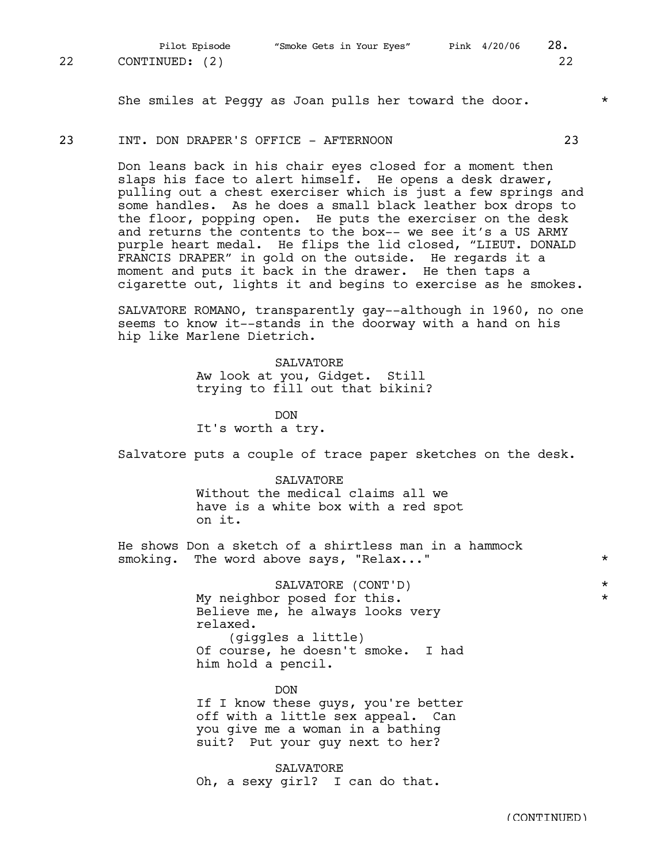Pilot Episode "Smoke Gets in Your Eyes" Pink 4/20/06 28.

She smiles at Peggy as Joan pulls her toward the door.  $*$ 

#### 23 INT. DON DRAPER'S OFFICE - AFTERNOON 23

Don leans back in his chair eyes closed for a moment then slaps his face to alert himself. He opens a desk drawer, pulling out a chest exerciser which is just a few springs and some handles. As he does a small black leather box drops to the floor, popping open. He puts the exerciser on the desk and returns the contents to the box-- we see it's a US ARMY purple heart medal. He flips the lid closed, "LIEUT. DONALD FRANCIS DRAPER" in gold on the outside. He regards it a moment and puts it back in the drawer. He then taps a cigarette out, lights it and begins to exercise as he smokes.

SALVATORE ROMANO, transparently gay--although in 1960, no one seems to know it--stands in the doorway with a hand on his hip like Marlene Dietrich.

> SALVATORE Aw look at you, Gidget. Still trying to fill out that bikini?

DON It's worth a try.

Salvatore puts a couple of trace paper sketches on the desk.

SALVATORE Without the medical claims all we have is a white box with a red spot on it.

He shows Don a sketch of a shirtless man in a hammock smoking. The word above says, "Relax..."

> SALVATORE (CONT'D) \* My neighbor posed for this. Believe me, he always looks very relaxed. (giggles a little) Of course, he doesn't smoke. I had him hold a pencil.

**DON** If I know these guys, you're better off with a little sex appeal. Can you give me a woman in a bathing suit? Put your guy next to her?

SALVATORE Oh, a sexy girl? I can do that.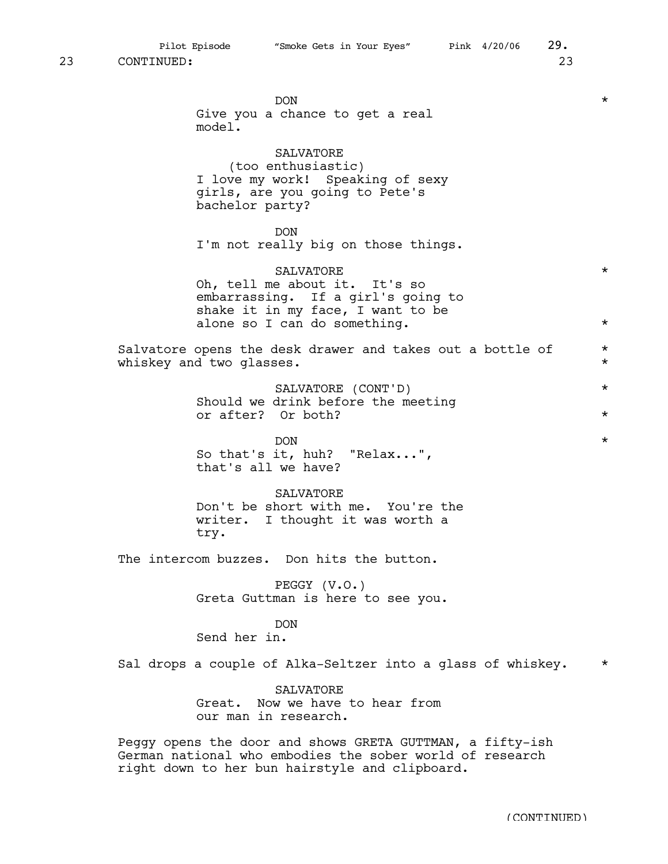Pilot Episode "Smoke Gets in Your Eyes" Pink 4/20/06 29.

23 CONTINUED: 23

DON \* Give you a chance to get a real model. **SALVATORE** (too enthusiastic) I love my work! Speaking of sexy girls, are you going to Pete's bachelor party? DON I'm not really big on those things.  $\begin{tabular}{ccccc}\n**SLVATORE**\n
$$
\end{tabular*} \begin{tabular}{c} \multicolumn{1}{c}\n**SLVATORE**\n
$$
\end{tabular*} \begin{tabular}{c} \multicolumn{1}{c}\n**SLVATION**\n
$$
\end{tabular*} \begin{tabular}{c} \multicolumn{1}{c}\n**SLVATION**\n
$$
\end{tabular*} \begin{tabular}{c} \multicolumn{1}{c}\n**SLVATION**\n
$$
\end{tabular*} \begin{tabular}{c} \multicolumn{1}{c}\n**SLVATION**\n<math display="</math>
$$
$$
$$
$$
$$$ Oh, tell me about it. It's so embarrassing. If a girl's going to shake it in my face, I want to be alone so I can do something.  $*$ Salvatore opens the desk drawer and takes out a bottle of  $*$ whiskey and two glasses.  $\star$ SALVATORE (CONT'D) \* Should we drink before the meeting or after? Or both? \* DON \* So that's it, huh? "Relax...", that's all we have? SALVATORE Don't be short with me. You're the writer. I thought it was worth a try. The intercom buzzes. Don hits the button. PEGGY (V.O.) Greta Guttman is here to see you. DON Send her in. Sal drops a couple of Alka-Seltzer into a glass of whiskey.  $*$ SALVATORE Great. Now we have to hear from our man in research. Peggy opens the door and shows GRETA GUTTMAN, a fifty-ish German national who embodies the sober world of research right down to her bun hairstyle and clipboard.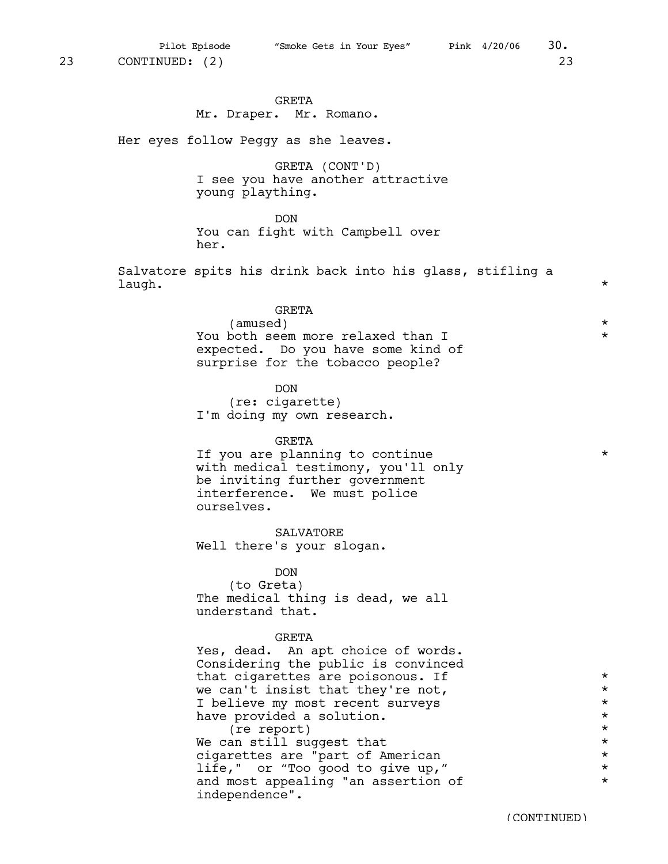Pilot Episode "Smoke Gets in Your Eyes" Pink  $4/20/06$  30.

#### GRETA

Mr. Draper. Mr. Romano.

Her eyes follow Peggy as she leaves.

GRETA (CONT'D) I see you have another attractive young plaything.

DON You can fight with Campbell over her.

Salvatore spits his drink back into his glass, stifling a laugh. \*

#### GRETA

(amused) \* You both seem more relaxed than I  $*$ expected. Do you have some kind of surprise for the tobacco people?

DON

(re: cigarette) I'm doing my own research.

#### GRETA

If you are planning to continue \* with medical testimony, you'll only be inviting further government interference. We must police ourselves.

SALVATORE Well there's your slogan.

DON

(to Greta) The medical thing is dead, we all understand that.

## GRETA

Yes, dead. An apt choice of words. Considering the public is convinced that cigarettes are poisonous. If  $\star$ <br>We can't insist that they're not. we can't insist that they're not,  $\star$ <br>T believe my most recent surveys  $\star$ I believe my most recent surveys \* have provided a solution. (re report)  $\star$ <br>an still suggest that  $\star$ We can still suggest that  $\star$ <br>cigarettes are "part of American  $\star$ cigarettes are "part of American \* life," or "Too good to give up," and most appealing "an assertion of  $*$ independence".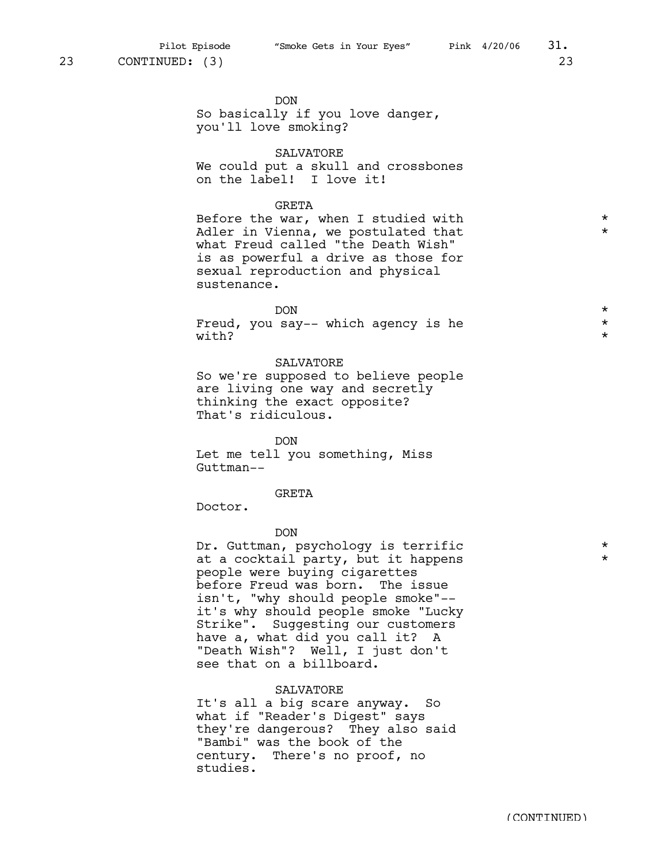DON So basically if you love danger, you'll love smoking?

## SALVATORE

We could put a skull and crossbones on the label! I love it!

## GRETA

Before the war, when I studied with  $*$ Adler in Vienna, we postulated that  $*$ what Freud called "the Death Wish" is as powerful a drive as those for sexual reproduction and physical sustenance.

## DON \*

Freud, you say-- which agency is he  $*$ with?  $\star$ 

## SALVATORE

So we're supposed to believe people are living one way and secretly thinking the exact opposite? That's ridiculous.

DON Let me tell you something, Miss Guttman--

#### GRETA

Doctor.

## DON

Dr. Guttman, psychology is terrific  $*$ at a cocktail party, but it happens  $*$ people were buying cigarettes before Freud was born. The issue isn't, "why should people smoke"- it's why should people smoke "Lucky Strike". Suggesting our customers have a, what did you call it? A "Death Wish"? Well, I just don't see that on a billboard.

## SALVATORE

It's all a big scare anyway. So what if "Reader's Digest" says they're dangerous? They also said "Bambi" was the book of the century. There's no proof, no studies.

| ۰.<br>i |  |
|---------|--|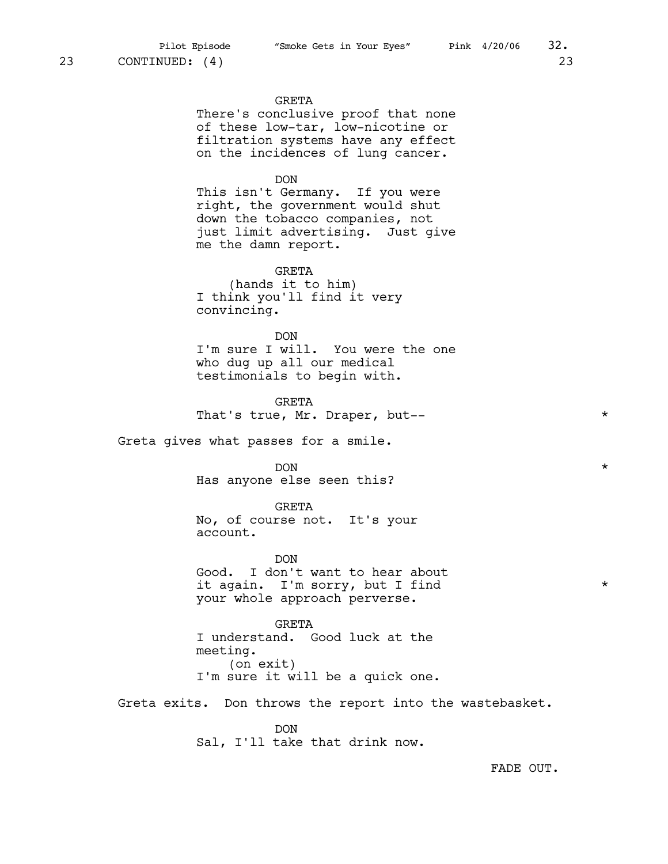#### GRETA

There's conclusive proof that none of these low-tar, low-nicotine or filtration systems have any effect on the incidences of lung cancer.

DON

This isn't Germany. If you were right, the government would shut down the tobacco companies, not just limit advertising. Just give me the damn report.

GRETA (hands it to him) I think you'll find it very convincing.

DON I'm sure I will. You were the one who dug up all our medical testimonials to begin with.

GRETA That's true, Mr. Draper, but--

Greta gives what passes for a smile.

DON \* Has anyone else seen this?

GRETA No, of course not. It's your account.

DON Good. I don't want to hear about it again. I'm sorry, but I find  $*$ your whole approach perverse.

GRETA I understand. Good luck at the meeting. (on exit) I'm sure it will be a quick one.

Greta exits. Don throws the report into the wastebasket.

DON Sal, I'll take that drink now.

FADE OUT.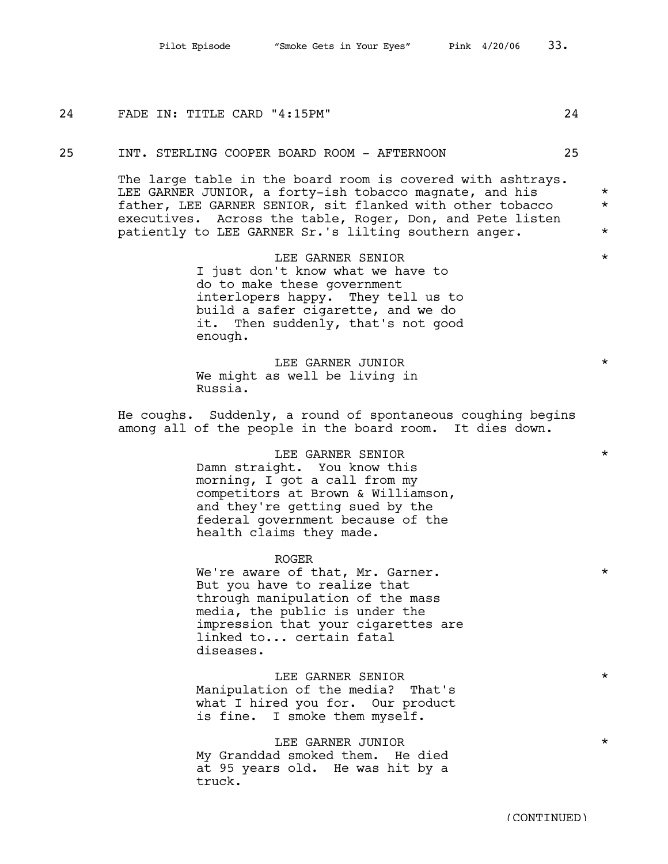25 INT. STERLING COOPER BOARD ROOM - AFTERNOON 25 The large table in the board room is covered with ashtrays. LEE GARNER JUNIOR, a forty-ish tobacco magnate, and his  $*$ father, LEE GARNER SENIOR, sit flanked with other tobacco \* executives. Across the table, Roger, Don, and Pete listen patiently to LEE GARNER Sr.'s lilting southern anger.  $*$ LEE GARNER SENIOR \* I just don't know what we have to do to make these government interlopers happy. They tell us to build a safer cigarette, and we do it. Then suddenly, that's not good enough. LEE GARNER JUNIOR \* We might as well be living in Russia. He coughs. Suddenly, a round of spontaneous coughing begins among all of the people in the board room. It dies down. LEE GARNER SENIOR \* Damn straight. You know this morning, I got a call from my competitors at Brown & Williamson, and they're getting sued by the federal government because of the health claims they made. ROGER We're aware of that, Mr. Garner.  $*$ But you have to realize that through manipulation of the mass media, the public is under the impression that your cigarettes are linked to... certain fatal diseases. LEE GARNER SENIOR \* Manipulation of the media? That's what I hired you for. Our product is fine. I smoke them myself. LEE GARNER JUNIOR  $\qquad \qquad \star$ My Granddad smoked them. He died at 95 years old. He was hit by a truck. (CONTINUED)

24 FADE IN: TITLE CARD "4:15PM" 24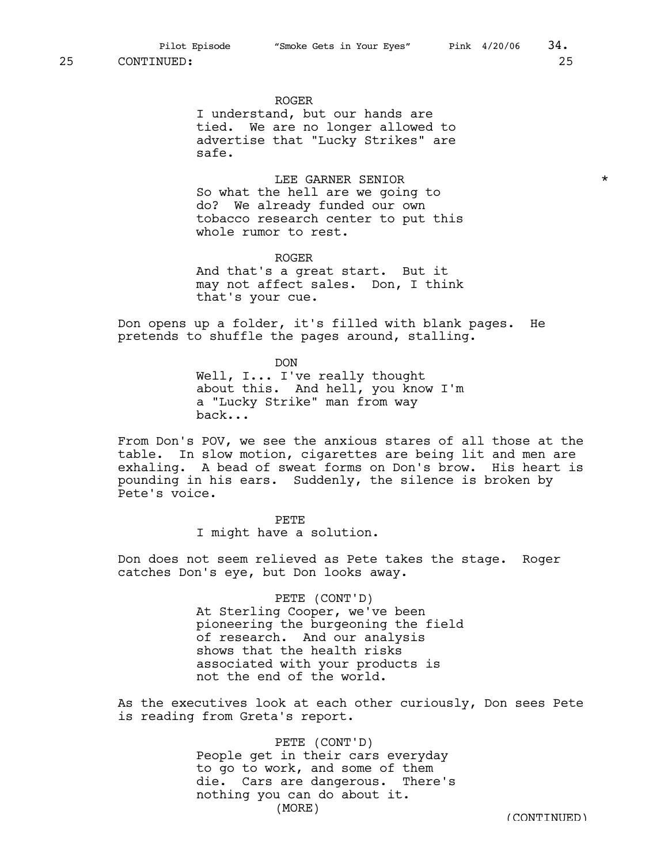ROGER

I understand, but our hands are tied. We are no longer allowed to advertise that "Lucky Strikes" are safe.

LEE GARNER SENIOR  $\quad$ 

So what the hell are we going to do? We already funded our own tobacco research center to put this whole rumor to rest.

ROGER And that's a great start. But it may not affect sales. Don, I think that's your cue.

Don opens up a folder, it's filled with blank pages. He pretends to shuffle the pages around, stalling.

> DON Well, I... I've really thought about this. And hell, you know I'm a "Lucky Strike" man from way back...

From Don's POV, we see the anxious stares of all those at the table. In slow motion, cigarettes are being lit and men are exhaling. A bead of sweat forms on Don's brow. His heart is pounding in his ears. Suddenly, the silence is broken by Pete's voice.

PETE

I might have a solution.

Don does not seem relieved as Pete takes the stage. Roger catches Don's eye, but Don looks away.

> PETE (CONT'D) At Sterling Cooper, we've been pioneering the burgeoning the field of research. And our analysis shows that the health risks associated with your products is not the end of the world.

As the executives look at each other curiously, Don sees Pete is reading from Greta's report.

> PETE (CONT'D) People get in their cars everyday to go to work, and some of them die. Cars are dangerous. There's nothing you can do about it. (MORE) (CONTINUED)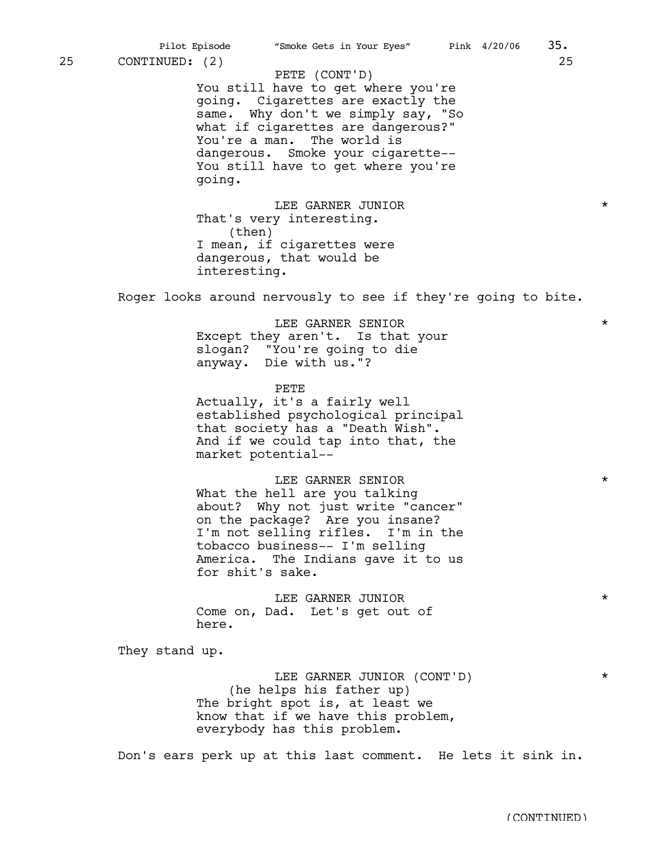## PETE (CONT'D)

You still have to get where you're going. Cigarettes are exactly the same. Why don't we simply say, "So what if cigarettes are dangerous?" You're a man. The world is dangerous. Smoke your cigarette-- You still have to get where you're going.

LEE GARNER JUNIOR  $\qquad \qquad \star$ That's very interesting. (then) I mean, if cigarettes were dangerous, that would be interesting.

Roger looks around nervously to see if they're going to bite.

LEE GARNER SENIOR  $\qquad \qquad \star$ Except they aren't. Is that your slogan? "You're going to die anyway. Die with us."?

PETE

Actually, it's a fairly well established psychological principal that society has a "Death Wish". And if we could tap into that, the market potential--

LEE GARNER SENIOR  $\quad$ What the hell are you talking about? Why not just write "cancer" on the package? Are you insane? I'm not selling rifles. I'm in the tobacco business-- I'm selling America. The Indians gave it to us for shit's sake.

LEE GARNER JUNIOR  $\qquad$ Come on, Dad. Let's get out of here.

They stand up.

LEE GARNER JUNIOR (CONT'D) \* (he helps his father up) The bright spot is, at least we know that if we have this problem, everybody has this problem.

Don's ears perk up at this last comment. He lets it sink in.

(CONTINUED)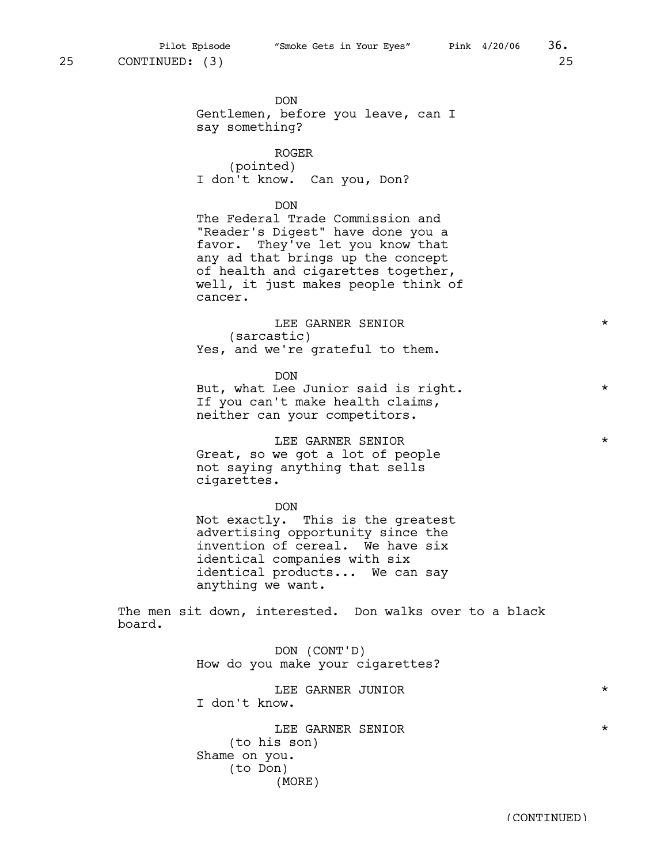DON Gentlemen, before you leave, can I say something?

ROGER (pointed) I don't know. Can you, Don?

DON

The Federal Trade Commission and "Reader's Digest" have done you a favor. They've let you know that any ad that brings up the concept of health and cigarettes together, well, it just makes people think of cancer.

LEE GARNER SENIOR \* (sarcastic) Yes, and we're grateful to them.

DON

But, what Lee Junior said is right.  $*$ If you can't make health claims, neither can your competitors.

LEE GARNER SENIOR \* Great, so we got a lot of people not saying anything that sells cigarettes.

DON Not exactly. This is the greatest advertising opportunity since the invention of cereal. We have six identical companies with six identical products... We can say anything we want.

The men sit down, interested. Don walks over to a black board.

> DON (CONT'D) How do you make your cigarettes?

LEE GARNER JUNIOR  $\qquad \qquad \star$ I don't know. LEE GARNER SENIOR \* (to his son) Shame on you. (to Don) (MORE)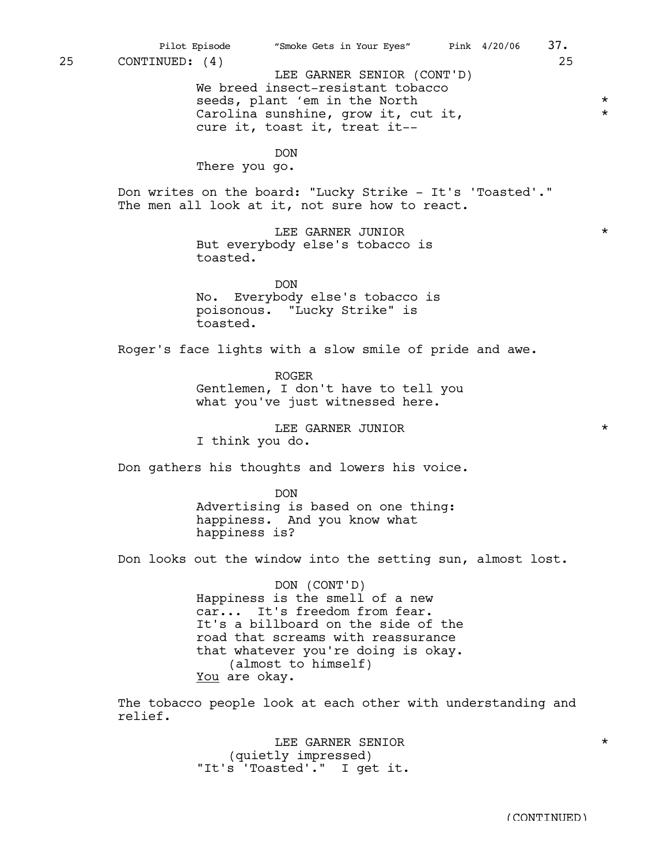|    |                                                                                                             | Pilot Episode   | "Smoke Gets in Your Eyes" Pink 4/20/06                                                                                                                                                                                    |  |  | 37.                      |  |
|----|-------------------------------------------------------------------------------------------------------------|-----------------|---------------------------------------------------------------------------------------------------------------------------------------------------------------------------------------------------------------------------|--|--|--------------------------|--|
| 25 | CONTINUED: (4)                                                                                              |                 | LEE GARNER SENIOR (CONT'D)<br>We breed insect-resistant tobacco<br>seeds, plant 'em in the North<br>Carolina sunshine, grow it, cut it,<br>cure it, toast it, treat it--                                                  |  |  | 25<br>$\star$<br>$\star$ |  |
|    |                                                                                                             | There you go.   | <b>DON</b>                                                                                                                                                                                                                |  |  |                          |  |
|    | Don writes on the board: "Lucky Strike - It's 'Toasted'."<br>The men all look at it, not sure how to react. |                 |                                                                                                                                                                                                                           |  |  |                          |  |
|    |                                                                                                             | toasted.        | LEE GARNER JUNIOR<br>But everybody else's tobacco is                                                                                                                                                                      |  |  | $\star$                  |  |
|    |                                                                                                             | No.<br>toasted. | <b>DON</b><br>Everybody else's tobacco is<br>poisonous. "Lucky Strike" is                                                                                                                                                 |  |  |                          |  |
|    | Roger's face lights with a slow smile of pride and awe.                                                     |                 |                                                                                                                                                                                                                           |  |  |                          |  |
|    |                                                                                                             |                 | <b>ROGER</b><br>Gentlemen, I don't have to tell you<br>what you've just witnessed here.                                                                                                                                   |  |  |                          |  |
|    |                                                                                                             | I think you do. | LEE GARNER JUNIOR                                                                                                                                                                                                         |  |  | $\star$                  |  |
|    | Don gathers his thoughts and lowers his voice.                                                              |                 |                                                                                                                                                                                                                           |  |  |                          |  |
|    |                                                                                                             | happiness is?   | <b>DON</b><br>Advertising is based on one thing:<br>happiness. And you know what                                                                                                                                          |  |  |                          |  |
|    |                                                                                                             |                 | Don looks out the window into the setting sun, almost lost.                                                                                                                                                               |  |  |                          |  |
|    |                                                                                                             | You are okay.   | DON (CONT'D)<br>Happiness is the smell of a new<br>car It's freedom from fear.<br>It's a billboard on the side of the<br>road that screams with reassurance<br>that whatever you're doing is okay.<br>(almost to himself) |  |  |                          |  |
|    | The tobacco people look at each other with understanding and<br>relief.                                     |                 |                                                                                                                                                                                                                           |  |  |                          |  |
|    |                                                                                                             |                 | LEE GARNER SENIOR<br>(quietly impressed)<br>"It's 'Toasted'." I get it.                                                                                                                                                   |  |  | $^\star$                 |  |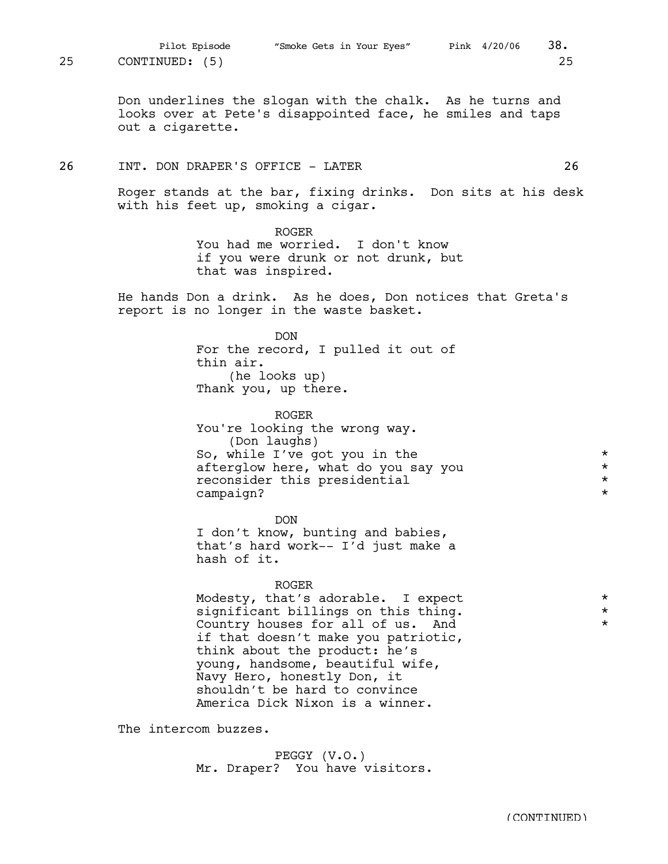Don underlines the slogan with the chalk. As he turns and looks over at Pete's disappointed face, he smiles and taps out a cigarette.

26 INT. DON DRAPER'S OFFICE - LATER 26

Roger stands at the bar, fixing drinks. Don sits at his desk with his feet up, smoking a cigar.

> ROGER You had me worried. I don't know if you were drunk or not drunk, but that was inspired.

He hands Don a drink. As he does, Don notices that Greta's report is no longer in the waste basket.

> DON For the record, I pulled it out of

thin air. (he looks up) Thank you, up there.

ROGER

You're looking the wrong way. (Don laughs) So, while I've got you in the  $\star$ <br>afterglow here, what do you say you afterglow here, what do you say you \* reconsider this presidential \* campaign?  $\star$ 

DON

I don't know, bunting and babies, that's hard work-- I'd just make a hash of it.

#### ROGER

Modesty, that's adorable. I expect  $*$ <br>significant billings on this thing.  $*$ significant billings on this thing.<br>Country bouses for all of us and \*\*\* Country houses for all of us. And \* if that doesn't make you patriotic, think about the product: he's young, handsome, beautiful wife, Navy Hero, honestly Don, it shouldn't be hard to convince America Dick Nixon is a winner.

The intercom buzzes.

PEGGY (V.O.) Mr. Draper? You have visitors.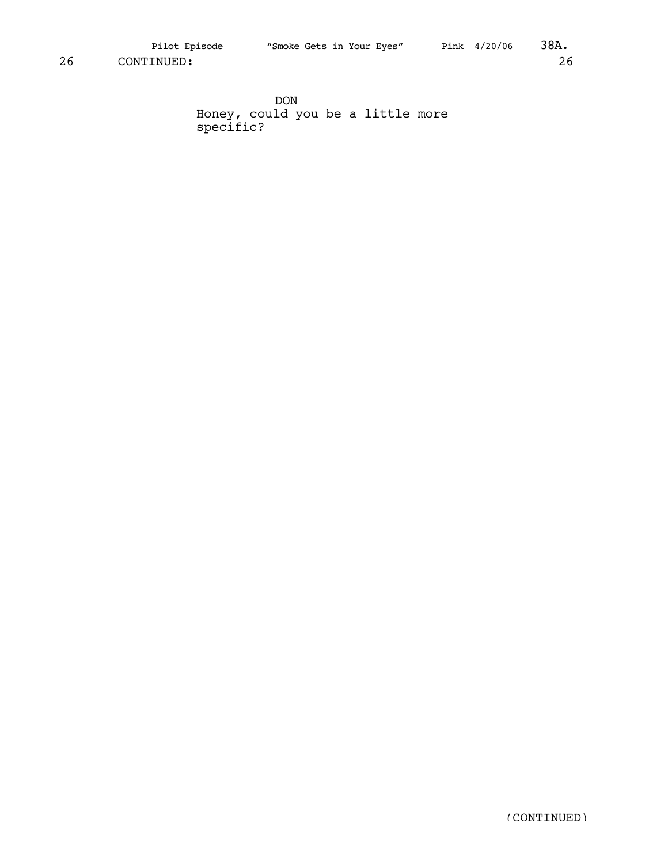DON Honey, could you be a little more specific?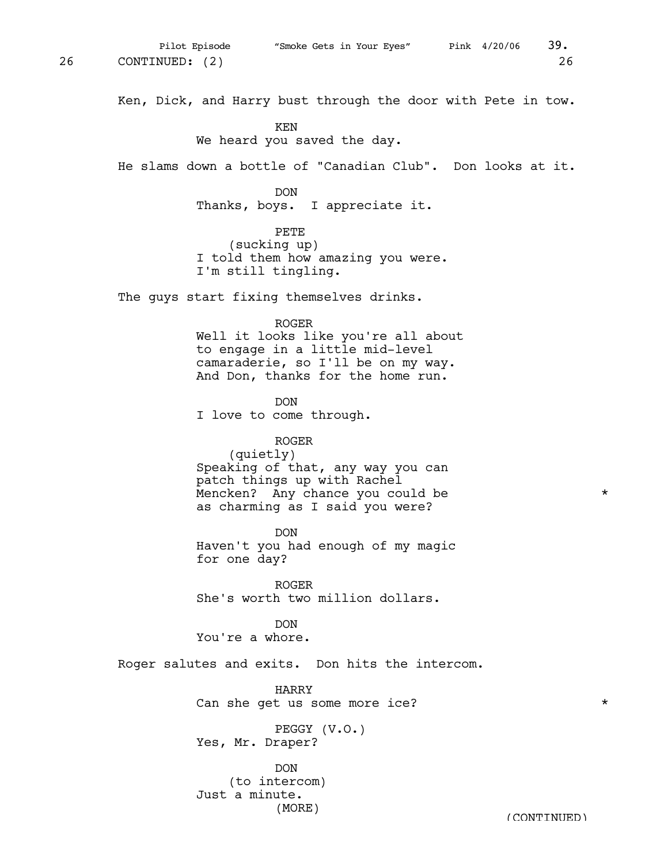Pilot Episode "Smoke Gets in Your Eyes" Pink 4/20/06 39.

Ken, Dick, and Harry bust through the door with Pete in tow.

## KEN We heard you saved the day.

He slams down a bottle of "Canadian Club". Don looks at it.

#### DON

Thanks, boys. I appreciate it.

PETE

(sucking up) I told them how amazing you were. I'm still tingling.

The guys start fixing themselves drinks.

#### ROGER

Well it looks like you're all about to engage in a little mid-level camaraderie, so I'll be on my way. And Don, thanks for the home run.

DON I love to come through.

## ROGER

(quietly) Speaking of that, any way you can patch things up with Rachel Mencken? Any chance you could be \* as charming as I said you were?

DON Haven't you had enough of my magic for one day?

ROGER She's worth two million dollars.

DON You're a whore.

Roger salutes and exits. Don hits the intercom.

HARRY Can she get us some more ice?  $*$ 

PEGGY (V.O.) Yes, Mr. Draper?

DON (to intercom) Just a minute.

(MORE) (CONTINUED)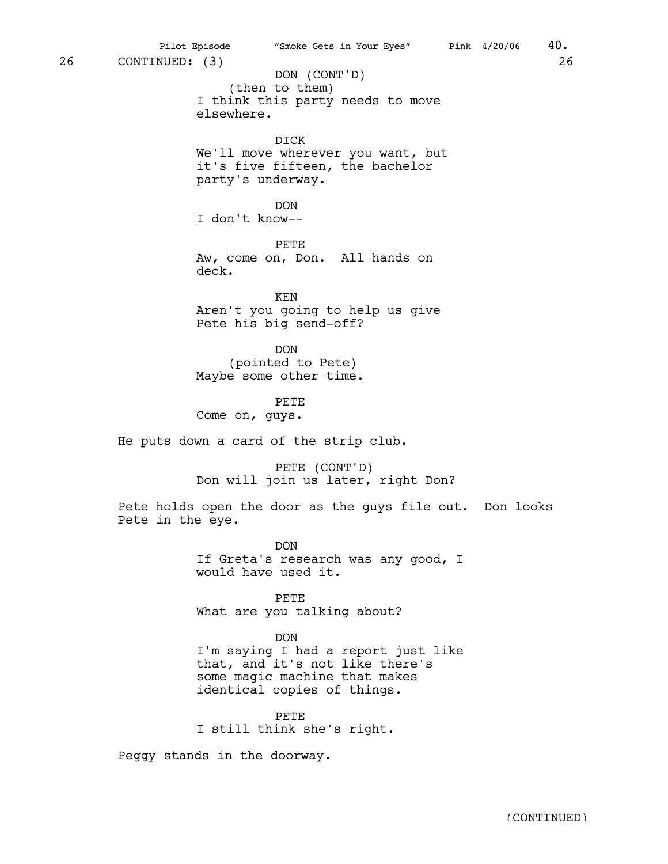(then to them) I think this party needs to move elsewhere. DICK We'll move wherever you want, but it's five fifteen, the bachelor party's underway. DON I don't know-- PETE Aw, come on, Don. All hands on deck. KEN Aren't you going to help us give Pete his big send-off? DON (pointed to Pete) Maybe some other time. PETE Come on, guys. He puts down a card of the strip club. PETE (CONT'D) Don will join us later, right Don? Pete holds open the door as the guys file out. Don looks Pete in the eye. DON If Greta's research was any good, I would have used it. PETE What are you talking about? DON I'm saying I had a report just like that, and it's not like there's some magic machine that makes identical copies of things. PETE I still think she's right. Peggy stands in the doorway. 26 CONTINUED: (3) 26 DON (CONT'D)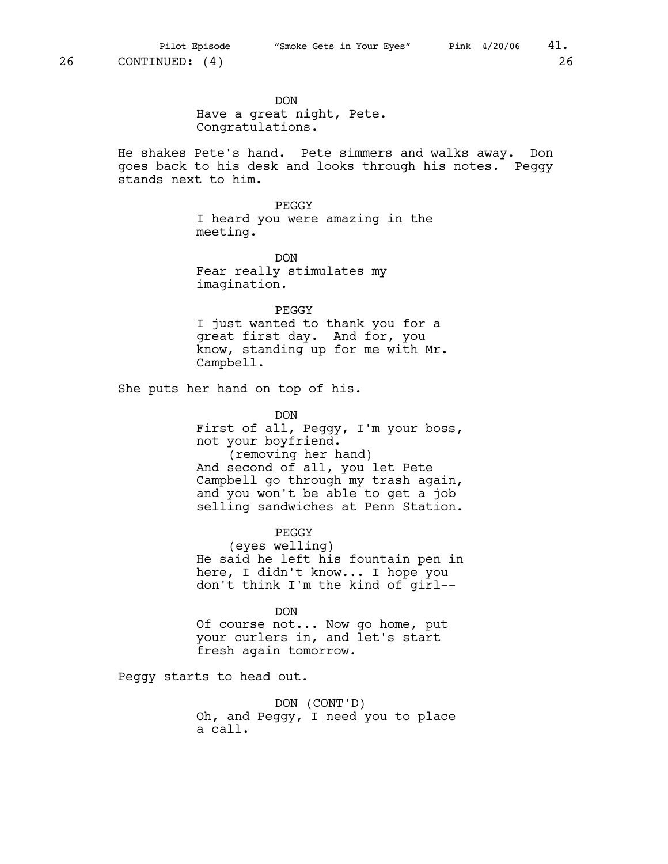DON Have a great night, Pete. Congratulations.

He shakes Pete's hand. Pete simmers and walks away. Don goes back to his desk and looks through his notes. Peggy stands next to him.

> PEGGY I heard you were amazing in the meeting.

DON Fear really stimulates my imagination.

PEGGY I just wanted to thank you for a great first day. And for, you know, standing up for me with Mr. Campbell.

She puts her hand on top of his.

DON

First of all, Peggy, I'm your boss, not your boyfriend. (removing her hand) And second of all, you let Pete Campbell go through my trash again, and you won't be able to get a job selling sandwiches at Penn Station.

PEGGY (eyes welling) He said he left his fountain pen in here, I didn't know... I hope you don't think I'm the kind of girl--

DON Of course not... Now go home, put your curlers in, and let's start fresh again tomorrow.

Peggy starts to head out.

DON (CONT'D) Oh, and Peggy, I need you to place a call.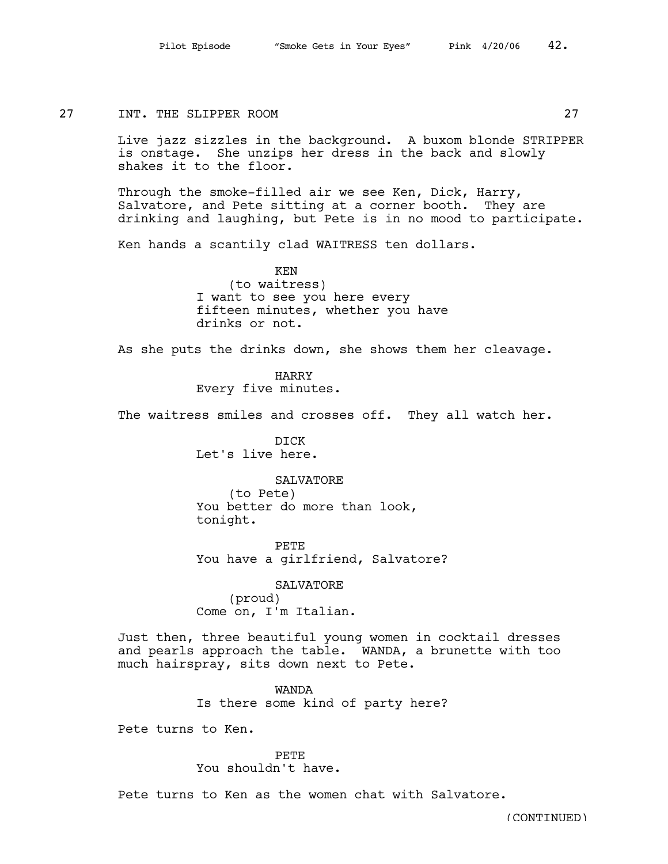## 27 INT. THE SLIPPER ROOM 27

Live jazz sizzles in the background. A buxom blonde STRIPPER is onstage. She unzips her dress in the back and slowly shakes it to the floor.

Through the smoke-filled air we see Ken, Dick, Harry, Salvatore, and Pete sitting at a corner booth. They are drinking and laughing, but Pete is in no mood to participate.

Ken hands a scantily clad WAITRESS ten dollars.

KEN (to waitress) I want to see you here every fifteen minutes, whether you have drinks or not.

As she puts the drinks down, she shows them her cleavage.

HARRY Every five minutes.

The waitress smiles and crosses off. They all watch her.

DICK Let's live here.

SALVATORE (to Pete) You better do more than look, tonight.

PETE You have a girlfriend, Salvatore?

SALVATORE (proud) Come on, I'm Italian.

Just then, three beautiful young women in cocktail dresses and pearls approach the table. WANDA, a brunette with too much hairspray, sits down next to Pete.

> WANDA Is there some kind of party here?

Pete turns to Ken.

PETE You shouldn't have.

Pete turns to Ken as the women chat with Salvatore.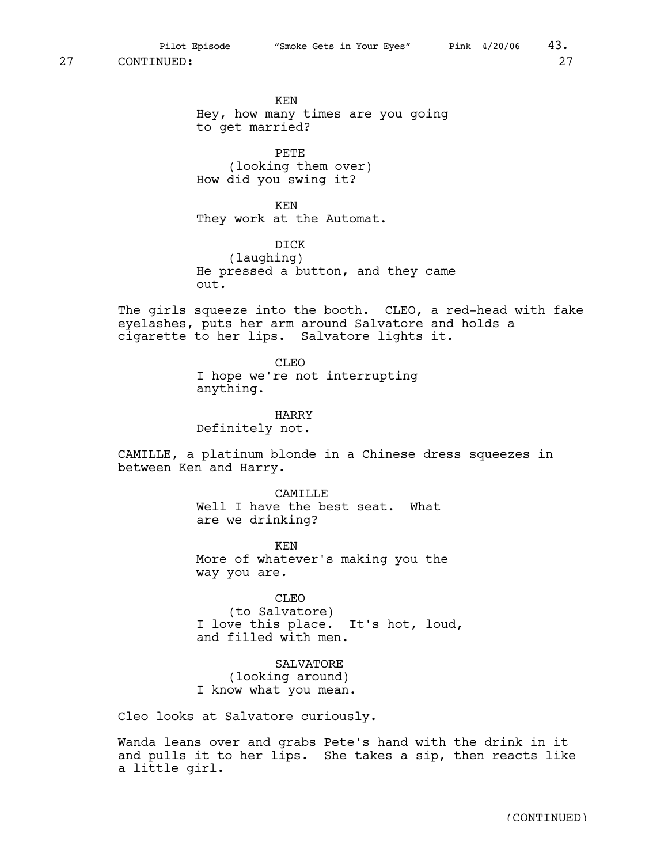KEN Hey, how many times are you going to get married?

PETE (looking them over) How did you swing it?

KEN They work at the Automat.

DICK (laughing) He pressed a button, and they came out.

The girls squeeze into the booth. CLEO, a red-head with fake eyelashes, puts her arm around Salvatore and holds a cigarette to her lips. Salvatore lights it.

> CLEO I hope we're not interrupting anything.

HARRY Definitely not.

CAMILLE, a platinum blonde in a Chinese dress squeezes in between Ken and Harry.

> **CAMILLE** Well I have the best seat. What are we drinking?

KEN More of whatever's making you the way you are.

CLEO (to Salvatore) I love this place. It's hot, loud, and filled with men.

SALVATORE (looking around) I know what you mean.

Cleo looks at Salvatore curiously.

Wanda leans over and grabs Pete's hand with the drink in it and pulls it to her lips. She takes a sip, then reacts like a little girl.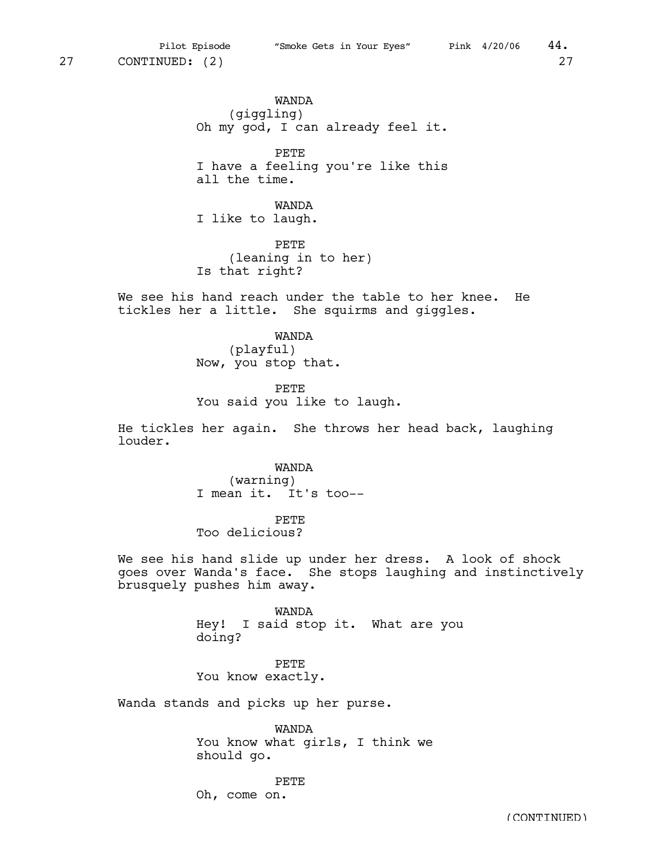WANDA (giggling) Oh my god, I can already feel it.

PETE I have a feeling you're like this all the time.

WANDA I like to laugh.

PETE (leaning in to her) Is that right?

We see his hand reach under the table to her knee. He tickles her a little. She squirms and giggles.

> WANDA (playful) Now, you stop that.

PETE You said you like to laugh.

He tickles her again. She throws her head back, laughing louder.

> WANDA (warning) I mean it. It's too--

PETE Too delicious?

We see his hand slide up under her dress. A look of shock goes over Wanda's face. She stops laughing and instinctively brusquely pushes him away.

> WANDA Hey! I said stop it. What are you doing?

PETE You know exactly.

Wanda stands and picks up her purse.

WANDA You know what girls, I think we should go.

PETE Oh, come on.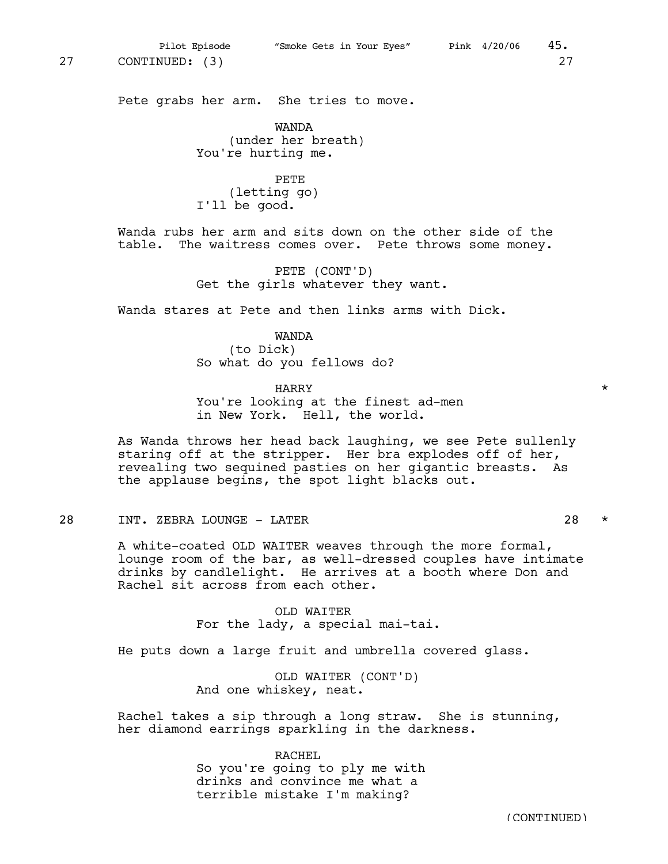Pete grabs her arm. She tries to move.

WANDA (under her breath) You're hurting me.

PETE (letting go) I'll be good.

Wanda rubs her arm and sits down on the other side of the table. The waitress comes over. Pete throws some money.

> PETE (CONT'D) Get the girls whatever they want.

Wanda stares at Pete and then links arms with Dick.

WANDA (to Dick) So what do you fellows do?

HARRY \* You're looking at the finest ad-men in New York. Hell, the world.

As Wanda throws her head back laughing, we see Pete sullenly staring off at the stripper. Her bra explodes off of her, revealing two sequined pasties on her gigantic breasts. As the applause begins, the spot light blacks out.

28 INT. ZEBRA LOUNGE – LATER 28 \*

A white-coated OLD WAITER weaves through the more formal, lounge room of the bar, as well-dressed couples have intimate drinks by candlelight. He arrives at a booth where Don and Rachel sit across from each other.

> OLD WAITER For the lady, a special mai-tai.

He puts down a large fruit and umbrella covered glass.

OLD WAITER (CONT'D) And one whiskey, neat.

Rachel takes a sip through a long straw. She is stunning, her diamond earrings sparkling in the darkness.

RACHEL

So you're going to ply me with drinks and convince me what a terrible mistake I'm making?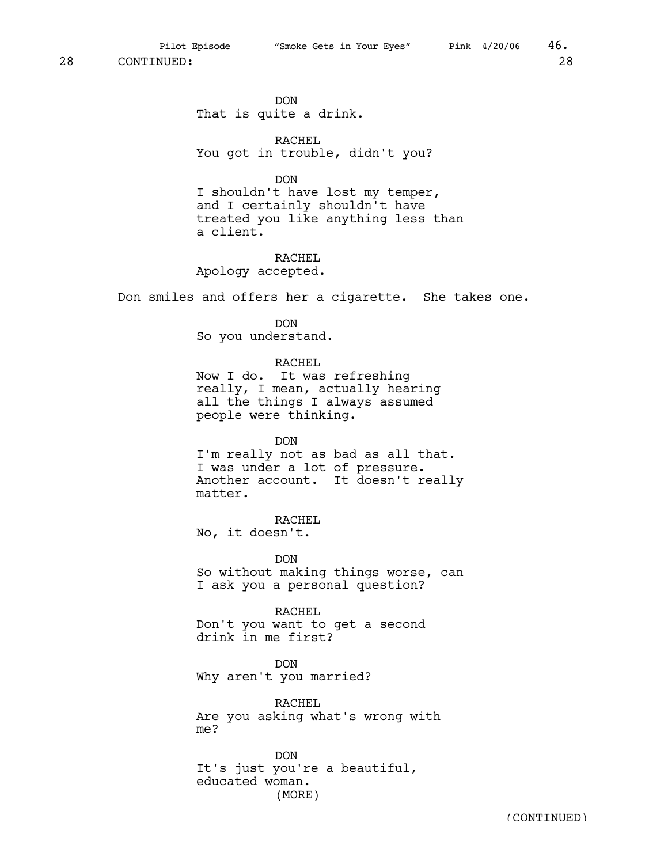Pilot Episode "Smoke Gets in Your Eyes" Pink  $4/20/06$  46.

28 CONTINUED: 28

DON That is quite a drink.

RACHEL You got in trouble, didn't you?

DON

I shouldn't have lost my temper, and I certainly shouldn't have treated you like anything less than a client.

RACHEL Apology accepted.

Don smiles and offers her a cigarette. She takes one.

DON

So you understand.

RACHEL

Now I do. It was refreshing really, I mean, actually hearing all the things I always assumed people were thinking.

DON

I'm really not as bad as all that. I was under a lot of pressure. Another account. It doesn't really matter.

RACHEL No, it doesn't.

DON So without making things worse, can I ask you a personal question?

RACHEL Don't you want to get a second drink in me first?

DON Why aren't you married?

RACHEL Are you asking what's wrong with me?

DON It's just you're a beautiful, educated woman. (MORE)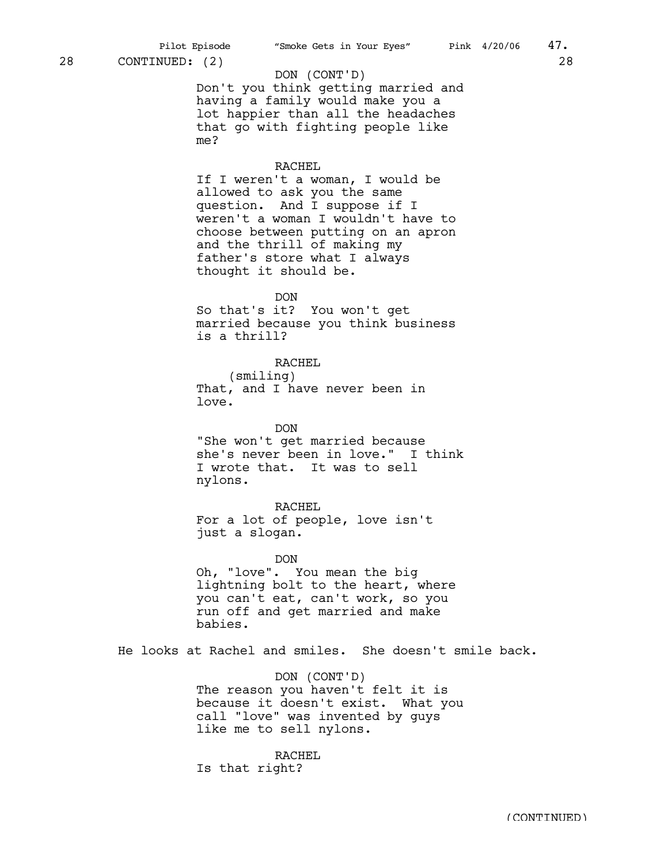## DON (CONT'D)

Don't you think getting married and having a family would make you a lot happier than all the headaches that go with fighting people like me?

## RACHEL

If I weren't a woman, I would be allowed to ask you the same question. And I suppose if I weren't a woman I wouldn't have to choose between putting on an apron and the thrill of making my father's store what I always thought it should be.

DON

So that's it? You won't get married because you think business is a thrill?

> RACHEL (smiling)

That, and I have never been in love.

DON "She won't get married because she's never been in love." I think I wrote that. It was to sell nylons.

RACHEL For a lot of people, love isn't just a slogan.

DON Oh, "love". You mean the big lightning bolt to the heart, where you can't eat, can't work, so you run off and get married and make babies.

He looks at Rachel and smiles. She doesn't smile back.

DON (CONT'D) The reason you haven't felt it is because it doesn't exist. What you call "love" was invented by guys like me to sell nylons.

RACHEL Is that right?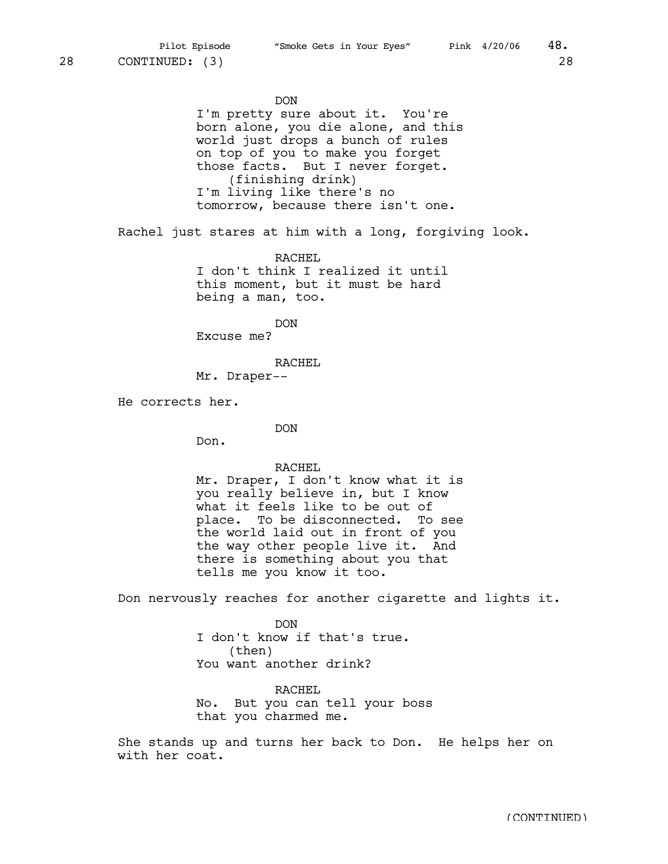DON I'm pretty sure about it. You're born alone, you die alone, and this world just drops a bunch of rules on top of you to make you forget those facts. But I never forget. (finishing drink) I'm living like there's no tomorrow, because there isn't one.

Rachel just stares at him with a long, forgiving look.

RACHEL I don't think I realized it until this moment, but it must be hard being a man, too.

DON Excuse me?

RACHEL Mr. Draper--

He corrects her.

DON

Don.

## RACHEL

Mr. Draper, I don't know what it is you really believe in, but I know what it feels like to be out of place. To be disconnected. To see the world laid out in front of you the way other people live it. And there is something about you that tells me you know it too.

Don nervously reaches for another cigarette and lights it.

DON I don't know if that's true. (then) You want another drink?

RACHEL No. But you can tell your boss that you charmed me.

She stands up and turns her back to Don. He helps her on with her coat.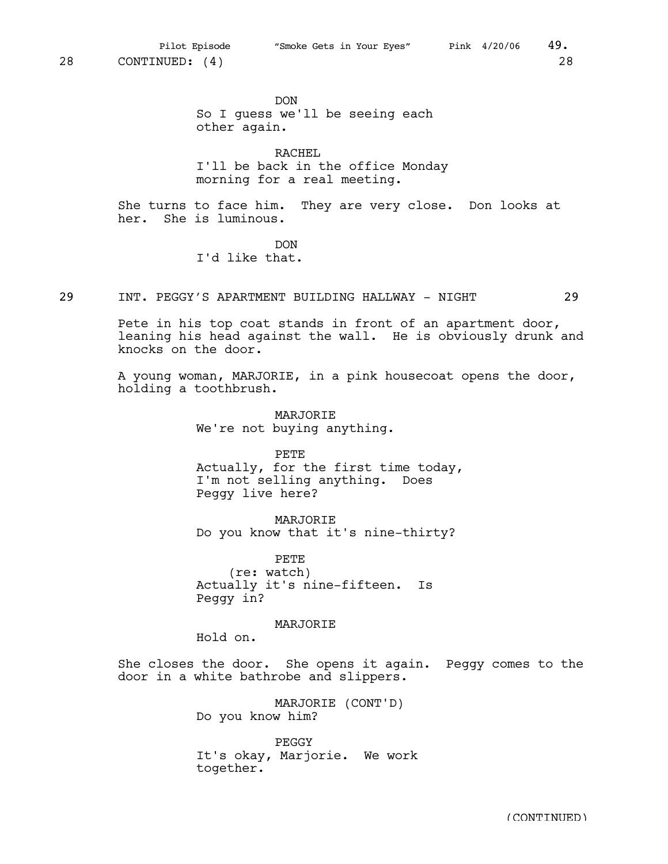DON So I guess we'll be seeing each other again.

RACHEL I'll be back in the office Monday morning for a real meeting.

She turns to face him. They are very close. Don looks at her. She is luminous.

DON

I'd like that.

#### 29 INT. PEGGY'S APARTMENT BUILDING HALLWAY - NIGHT 29

Pete in his top coat stands in front of an apartment door, leaning his head against the wall. He is obviously drunk and knocks on the door.

A young woman, MARJORIE, in a pink housecoat opens the door, holding a toothbrush.

> MARJORIE We're not buying anything.

> > PETE

Actually, for the first time today, I'm not selling anything. Does Peggy live here?

MARJORIE Do you know that it's nine-thirty?

PETE (re: watch) Actually it's nine-fifteen. Is Peggy in?

MARJORIE

Hold on.

She closes the door. She opens it again. Peggy comes to the door in a white bathrobe and slippers.

> MARJORIE (CONT'D) Do you know him?

PEGGY It's okay, Marjorie. We work together.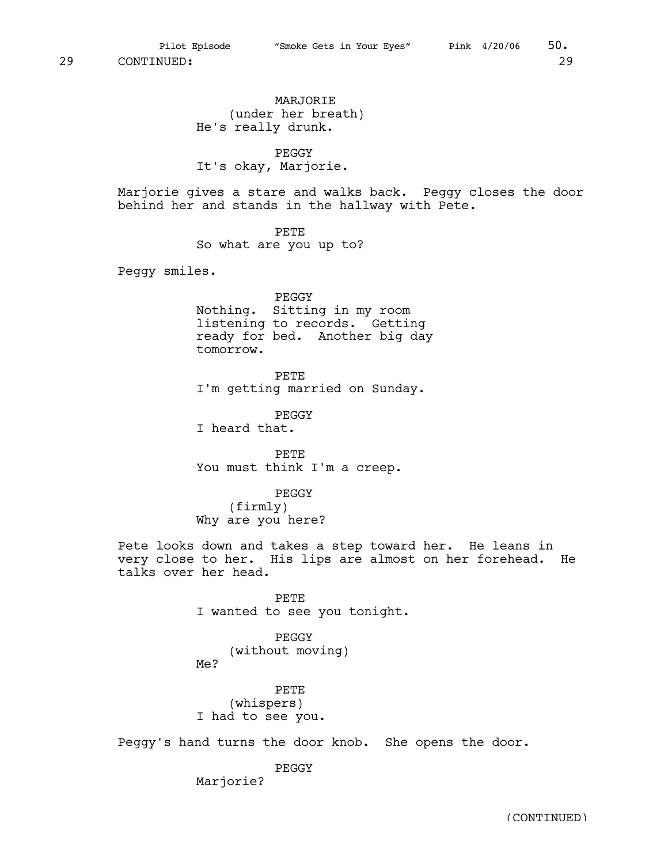MARJORIE (under her breath) He's really drunk.

PEGGY It's okay, Marjorie.

Marjorie gives a stare and walks back. Peggy closes the door behind her and stands in the hallway with Pete.

PETE

So what are you up to?

Peggy smiles.

PEGGY Nothing. Sitting in my room listening to records. Getting ready for bed. Another big day tomorrow.

PETE I'm getting married on Sunday.

PEGGY I heard that.

PETE You must think I'm a creep.

PEGGY

(firmly) Why are you here?

Pete looks down and takes a step toward her. He leans in very close to her. His lips are almost on her forehead. He talks over her head.

> PETE I wanted to see you tonight.

PEGGY (without moving)  $M^2$ 

PETE (whispers) I had to see you.

Peggy's hand turns the door knob. She opens the door.

PEGGY Marjorie?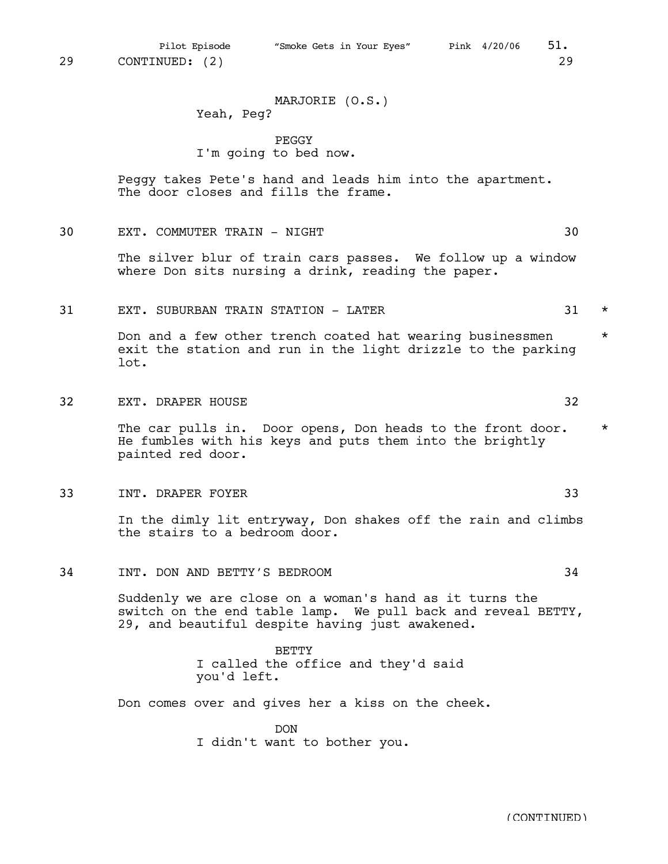## MARJORIE (O.S.) Yeah, Peg?

## PEGGY I'm going to bed now.

Peggy takes Pete's hand and leads him into the apartment. The door closes and fills the frame.

## 30 EXT. COMMUTER TRAIN - NIGHT 30

The silver blur of train cars passes. We follow up a window where Don sits nursing a drink, reading the paper.

## 31 EXT. SUBURBAN TRAIN STATION - LATER 31 \*

Don and a few other trench coated hat wearing businessmen \* exit the station and run in the light drizzle to the parking lot.

## 32 EXT. DRAPER HOUSE 32

The car pulls in. Door opens, Don heads to the front door. \* He fumbles with his keys and puts them into the brightly painted red door.

## 33 INT. DRAPER FOYER 33

In the dimly lit entryway, Don shakes off the rain and climbs the stairs to a bedroom door.

## 34 INT. DON AND BETTY'S BEDROOM 34

Suddenly we are close on a woman's hand as it turns the switch on the end table lamp. We pull back and reveal BETTY, 29, and beautiful despite having just awakened.

> **BETTY** I called the office and they'd said you'd left.

Don comes over and gives her a kiss on the cheek.

DON I didn't want to bother you.